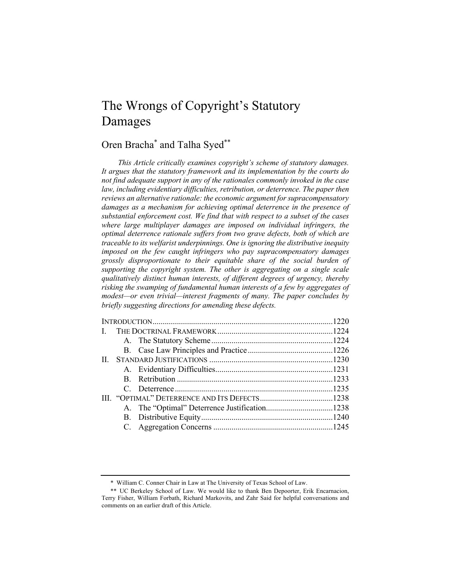# The Wrongs of Copyright's Statutory Damages

# Oren Bracha\* and Talha Syed\*\*

*This Article critically examines copyright's scheme of statutory damages. It argues that the statutory framework and its implementation by the courts do not find adequate support in any of the rationales commonly invoked in the case law, including evidentiary difficulties, retribution, or deterrence. The paper then reviews an alternative rationale: the economic argument for supracompensatory damages as a mechanism for achieving optimal deterrence in the presence of substantial enforcement cost. We find that with respect to a subset of the cases where large multiplayer damages are imposed on individual infringers, the optimal deterrence rationale suffers from two grave defects, both of which are traceable to its welfarist underpinnings. One is ignoring the distributive inequity imposed on the few caught infringers who pay supracompensatory damages grossly disproportionate to their equitable share of the social burden of supporting the copyright system. The other is aggregating on a single scale qualitatively distinct human interests, of different degrees of urgency, thereby risking the swamping of fundamental human interests of a few by aggregates of modest—or even trivial—interest fragments of many. The paper concludes by briefly suggesting directions for amending these defects.*

<sup>\*</sup> William C. Conner Chair in Law at The University of Texas School of Law.

<sup>\*\*</sup> UC Berkeley School of Law. We would like to thank Ben Depoorter, Erik Encarnacion, Terry Fisher, William Forbath, Richard Markovits, and Zahr Said for helpful conversations and comments on an earlier draft of this Article.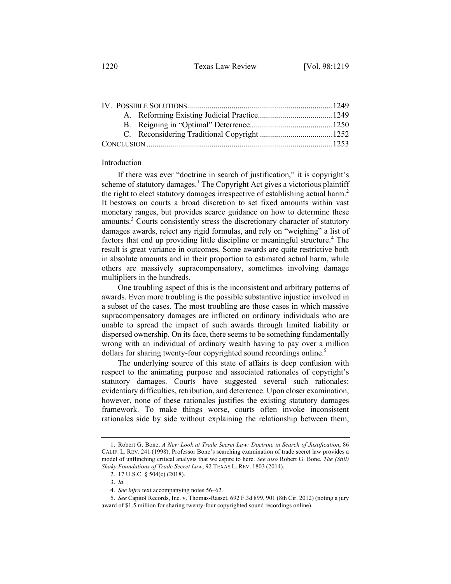1220 Texas Law Review [Vol. 98:1219

# Introduction

If there was ever "doctrine in search of justification," it is copyright's scheme of statutory damages.<sup>1</sup> The Copyright Act gives a victorious plaintiff the right to elect statutory damages irrespective of establishing actual harm.<sup>2</sup> It bestows on courts a broad discretion to set fixed amounts within vast monetary ranges, but provides scarce guidance on how to determine these amounts.<sup>3</sup> Courts consistently stress the discretionary character of statutory damages awards, reject any rigid formulas, and rely on "weighing" a list of factors that end up providing little discipline or meaningful structure.<sup>4</sup> The result is great variance in outcomes. Some awards are quite restrictive both in absolute amounts and in their proportion to estimated actual harm, while others are massively supracompensatory, sometimes involving damage multipliers in the hundreds.

One troubling aspect of this is the inconsistent and arbitrary patterns of awards. Even more troubling is the possible substantive injustice involved in a subset of the cases. The most troubling are those cases in which massive supracompensatory damages are inflicted on ordinary individuals who are unable to spread the impact of such awards through limited liability or dispersed ownership. On its face, there seems to be something fundamentally wrong with an individual of ordinary wealth having to pay over a million dollars for sharing twenty-four copyrighted sound recordings online.<sup>5</sup>

The underlying source of this state of affairs is deep confusion with respect to the animating purpose and associated rationales of copyright's statutory damages. Courts have suggested several such rationales: evidentiary difficulties, retribution, and deterrence. Upon closer examination, however, none of these rationales justifies the existing statutory damages framework. To make things worse, courts often invoke inconsistent rationales side by side without explaining the relationship between them,

<sup>1.</sup> Robert G. Bone, *A New Look at Trade Secret Law: Doctrine in Search of Justification*, 86 CALIF. L. REV. 241 (1998). Professor Bone's searching examination of trade secret law provides a model of unflinching critical analysis that we aspire to here. *See also* Robert G. Bone, *The (Still) Shaky Foundations of Trade Secret Law*, 92 TEXAS L. REV. 1803 (2014).

<sup>2.</sup> 17 U.S.C. § 504(c) (2018).

<sup>3.</sup> *Id.*

<sup>4.</sup> *See infra* text accompanying notes 56–62.

<sup>5.</sup> *See* Capitol Records, Inc. v. Thomas-Rasset, 692 F.3d 899, 901 (8th Cir. 2012) (noting a jury award of \$1.5 million for sharing twenty-four copyrighted sound recordings online).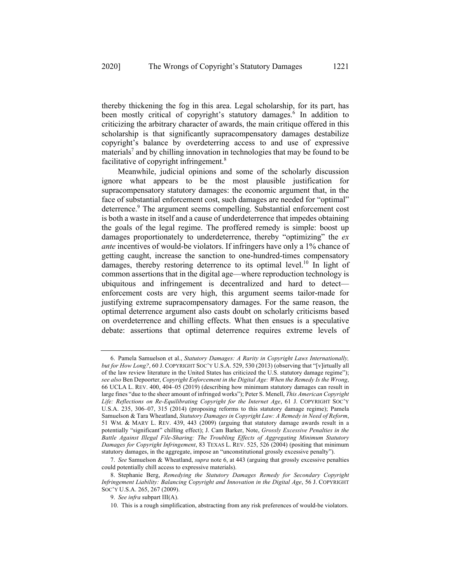thereby thickening the fog in this area. Legal scholarship, for its part, has been mostly critical of copyright's statutory damages.<sup>6</sup> In addition to criticizing the arbitrary character of awards, the main critique offered in this scholarship is that significantly supracompensatory damages destabilize copyright's balance by overdeterring access to and use of expressive materials<sup>7</sup> and by chilling innovation in technologies that may be found to be facilitative of copyright infringement.<sup>8</sup>

Meanwhile, judicial opinions and some of the scholarly discussion ignore what appears to be the most plausible justification for supracompensatory statutory damages: the economic argument that, in the face of substantial enforcement cost, such damages are needed for "optimal" deterrence.<sup>9</sup> The argument seems compelling. Substantial enforcement cost is both a waste in itself and a cause of underdeterrence that impedes obtaining the goals of the legal regime. The proffered remedy is simple: boost up damages proportionately to underdeterrence, thereby "optimizing" the *ex ante* incentives of would-be violators. If infringers have only a 1% chance of getting caught, increase the sanction to one-hundred-times compensatory damages, thereby restoring deterrence to its optimal level.<sup>10</sup> In light of common assertions that in the digital age—where reproduction technology is ubiquitous and infringement is decentralized and hard to detect enforcement costs are very high, this argument seems tailor-made for justifying extreme supracompensatory damages. For the same reason, the optimal deterrence argument also casts doubt on scholarly criticisms based on overdeterrence and chilling effects. What then ensues is a speculative debate: assertions that optimal deterrence requires extreme levels of

<sup>6.</sup> Pamela Samuelson et al., *Statutory Damages: A Rarity in Copyright Laws Internationally, but for How Long?*, 60 J. COPYRIGHT SOC'Y U.S.A. 529, 530 (2013) (observing that "[v]irtually all of the law review literature in the United States has criticized the U.S. statutory damage regime"); *see also* Ben Depoorter, *Copyright Enforcement in the Digital Age: When the Remedy Is the Wrong*, 66 UCLA L. REV. 400, 404–05 (2019) (describing how minimum statutory damages can result in large fines "due to the sheer amount of infringed works"); Peter S. Menell, *This American Copyright Life: Reflections on Re-Equilibrating Copyright for the Internet Age*, 61 J. COPYRIGHT SOC'Y U.S.A. 235, 306–07, 315 (2014) (proposing reforms to this statutory damage regime); Pamela Samuelson & Tara Wheatland, *Statutory Damages in Copyright Law: A Remedy in Need of Reform*, 51 WM. & MARY L. REV. 439, 443 (2009) (arguing that statutory damage awards result in a potentially "significant" chilling effect); J. Cam Barker, Note, *Grossly Excessive Penalties in the Battle Against Illegal File-Sharing: The Troubling Effects of Aggregating Minimum Statutory Damages for Copyright Infringement*, 83 TEXAS L. REV. 525, 526 (2004) (positing that minimum statutory damages, in the aggregate, impose an "unconstitutional grossly excessive penalty").

<sup>7.</sup> *See* Samuelson & Wheatland, *supra* note 6, at 443 (arguing that grossly excessive penalties could potentially chill access to expressive materials).

<sup>8.</sup> Stephanie Berg, *Remedying the Statutory Damages Remedy for Secondary Copyright Infringement Liability: Balancing Copyright and Innovation in the Digital Age*, 56 J. COPYRIGHT SOC'Y U.S.A. 265, 267 (2009).

<sup>9.</sup> *See infra* subpart III(A).

<sup>10.</sup> This is a rough simplification, abstracting from any risk preferences of would-be violators.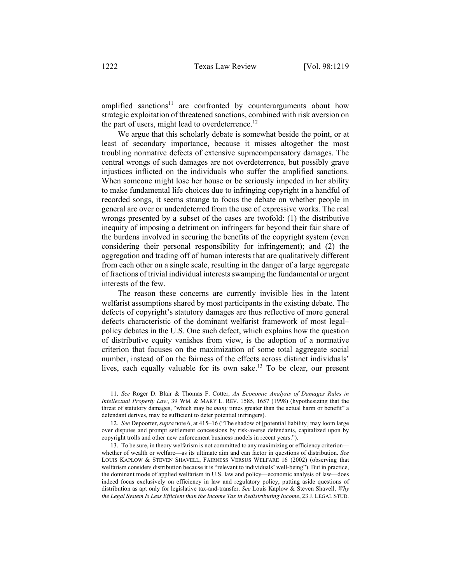amplified sanctions<sup>11</sup> are confronted by counterarguments about how strategic exploitation of threatened sanctions, combined with risk aversion on the part of users, might lead to overdeterrence.<sup>12</sup>

We argue that this scholarly debate is somewhat beside the point, or at least of secondary importance, because it misses altogether the most troubling normative defects of extensive supracompensatory damages. The central wrongs of such damages are not overdeterrence, but possibly grave injustices inflicted on the individuals who suffer the amplified sanctions. When someone might lose her house or be seriously impeded in her ability to make fundamental life choices due to infringing copyright in a handful of recorded songs, it seems strange to focus the debate on whether people in general are over or underdeterred from the use of expressive works. The real wrongs presented by a subset of the cases are twofold: (1) the distributive inequity of imposing a detriment on infringers far beyond their fair share of the burdens involved in securing the benefits of the copyright system (even considering their personal responsibility for infringement); and (2) the aggregation and trading off of human interests that are qualitatively different from each other on a single scale, resulting in the danger of a large aggregate of fractions of trivial individual interests swamping the fundamental or urgent interests of the few.

The reason these concerns are currently invisible lies in the latent welfarist assumptions shared by most participants in the existing debate. The defects of copyright's statutory damages are thus reflective of more general defects characteristic of the dominant welfarist framework of most legal– policy debates in the U.S. One such defect, which explains how the question of distributive equity vanishes from view, is the adoption of a normative criterion that focuses on the maximization of some total aggregate social number, instead of on the fairness of the effects across distinct individuals' lives, each equally valuable for its own sake.<sup>13</sup> To be clear, our present

<sup>11.</sup> *See* Roger D. Blair & Thomas F. Cotter, *An Economic Analysis of Damages Rules in Intellectual Property Law*, 39 WM. & MARY L. REV. 1585, 1657 (1998) (hypothesizing that the threat of statutory damages, "which may be *many* times greater than the actual harm or benefit" a defendant derives, may be sufficient to deter potential infringers).

<sup>12.</sup> *See* Depoorter, *supra* note 6, at 415–16 ("The shadow of [potential liability] may loom large over disputes and prompt settlement concessions by risk-averse defendants, capitalized upon by copyright trolls and other new enforcement business models in recent years.").

<sup>13.</sup> To be sure, in theory welfarism is not committed to any maximizing or efficiency criterion whether of wealth or welfare—as its ultimate aim and can factor in questions of distribution. *See* LOUIS KAPLOW & STEVEN SHAVELL, FAIRNESS VERSUS WELFARE 16 (2002) (observing that welfarism considers distribution because it is "relevant to individuals' well-being"). But in practice, the dominant mode of applied welfarism in U.S. law and policy—economic analysis of law—does indeed focus exclusively on efficiency in law and regulatory policy, putting aside questions of distribution as apt only for legislative tax-and-transfer. *See* Louis Kaplow & Steven Shavell, *Why the Legal System Is Less Efficient than the Income Tax in Redistributing Income*, 23 J. LEGAL STUD.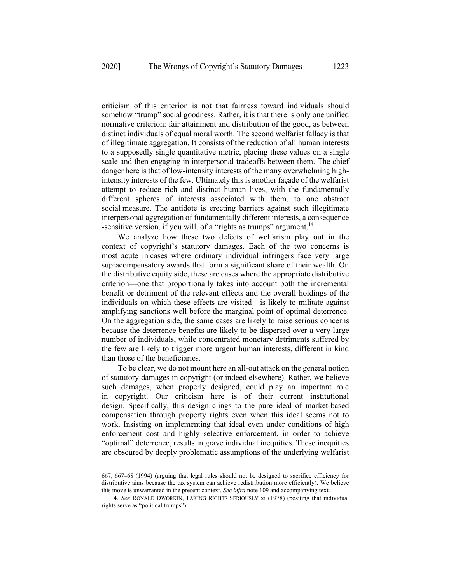criticism of this criterion is not that fairness toward individuals should somehow "trump" social goodness. Rather, it is that there is only one unified normative criterion: fair attainment and distribution of the good, as between distinct individuals of equal moral worth. The second welfarist fallacy is that of illegitimate aggregation. It consists of the reduction of all human interests to a supposedly single quantitative metric, placing these values on a single scale and then engaging in interpersonal tradeoffs between them. The chief danger here is that of low-intensity interests of the many overwhelming highintensity interests of the few. Ultimately this is another façade of the welfarist attempt to reduce rich and distinct human lives, with the fundamentally different spheres of interests associated with them, to one abstract social measure. The antidote is erecting barriers against such illegitimate interpersonal aggregation of fundamentally different interests, a consequence -sensitive version, if you will, of a "rights as trumps" argument.<sup>14</sup>

We analyze how these two defects of welfarism play out in the context of copyright's statutory damages. Each of the two concerns is most acute in cases where ordinary individual infringers face very large supracompensatory awards that form a significant share of their wealth. On the distributive equity side, these are cases where the appropriate distributive criterion—one that proportionally takes into account both the incremental benefit or detriment of the relevant effects and the overall holdings of the individuals on which these effects are visited—is likely to militate against amplifying sanctions well before the marginal point of optimal deterrence. On the aggregation side, the same cases are likely to raise serious concerns because the deterrence benefits are likely to be dispersed over a very large number of individuals, while concentrated monetary detriments suffered by the few are likely to trigger more urgent human interests, different in kind than those of the beneficiaries.

To be clear, we do not mount here an all-out attack on the general notion of statutory damages in copyright (or indeed elsewhere). Rather, we believe such damages, when properly designed, could play an important role in copyright. Our criticism here is of their current institutional design. Specifically, this design clings to the pure ideal of market-based compensation through property rights even when this ideal seems not to work. Insisting on implementing that ideal even under conditions of high enforcement cost and highly selective enforcement, in order to achieve "optimal" deterrence, results in grave individual inequities. These inequities are obscured by deeply problematic assumptions of the underlying welfarist

<sup>667,</sup> 667–68 (1994) (arguing that legal rules should not be designed to sacrifice efficiency for distributive aims because the tax system can achieve redistribution more efficiently). We believe this move is unwarranted in the present context. *See infra* note 109 and accompanying text.

<sup>14.</sup> *See* RONALD DWORKIN, TAKING RIGHTS SERIOUSLY xi (1978) (positing that individual rights serve as "political trumps").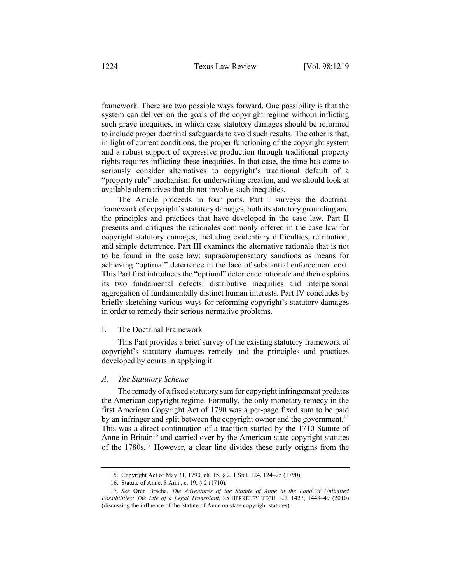framework. There are two possible ways forward. One possibility is that the system can deliver on the goals of the copyright regime without inflicting such grave inequities, in which case statutory damages should be reformed to include proper doctrinal safeguards to avoid such results. The other is that, in light of current conditions, the proper functioning of the copyright system and a robust support of expressive production through traditional property rights requires inflicting these inequities. In that case, the time has come to seriously consider alternatives to copyright's traditional default of a "property rule" mechanism for underwriting creation, and we should look at available alternatives that do not involve such inequities.

The Article proceeds in four parts. Part I surveys the doctrinal framework of copyright's statutory damages, both its statutory grounding and the principles and practices that have developed in the case law. Part II presents and critiques the rationales commonly offered in the case law for copyright statutory damages, including evidentiary difficulties, retribution, and simple deterrence. Part III examines the alternative rationale that is not to be found in the case law: supracompensatory sanctions as means for achieving "optimal" deterrence in the face of substantial enforcement cost. This Part first introduces the "optimal" deterrence rationale and then explains its two fundamental defects: distributive inequities and interpersonal aggregation of fundamentally distinct human interests. Part IV concludes by briefly sketching various ways for reforming copyright's statutory damages in order to remedy their serious normative problems.

## I. The Doctrinal Framework

This Part provides a brief survey of the existing statutory framework of copyright's statutory damages remedy and the principles and practices developed by courts in applying it.

#### *A. The Statutory Scheme*

The remedy of a fixed statutory sum for copyright infringement predates the American copyright regime. Formally, the only monetary remedy in the first American Copyright Act of 1790 was a per-page fixed sum to be paid by an infringer and split between the copyright owner and the government.<sup>15</sup> This was a direct continuation of a tradition started by the 1710 Statute of Anne in Britain<sup>16</sup> and carried over by the American state copyright statutes of the 1780s.<sup>17</sup> However, a clear line divides these early origins from the

<sup>15.</sup> Copyright Act of May 31, 1790, ch. 15, § 2, 1 Stat. 124, 124–25 (1790).

<sup>16.</sup> Statute of Anne, 8 Ann., c. 19, § 2 (1710).

<sup>17.</sup> *See* Oren Bracha, *The Adventures of the Statute of Anne in the Land of Unlimited Possibilities: The Life of a Legal Transplant*, 25 BERKELEY TECH. L.J. 1427, 1448–49 (2010) (discussing the influence of the Statute of Anne on state copyright statutes).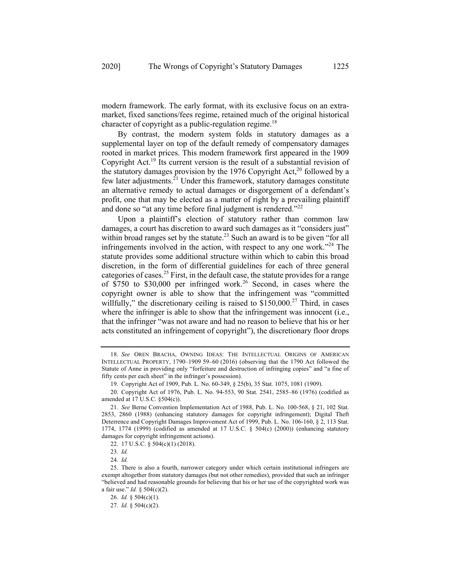modern framework. The early format, with its exclusive focus on an extramarket, fixed sanctions/fees regime, retained much of the original historical character of copyright as a public-regulation regime.<sup>18</sup>

By contrast, the modern system folds in statutory damages as a supplemental layer on top of the default remedy of compensatory damages rooted in market prices. This modern framework first appeared in the 1909 Copyright Act.<sup>19</sup> Its current version is the result of a substantial revision of the statutory damages provision by the 1976 Copyright Act,<sup>20</sup> followed by a few later adjustments. $^{21}$  Under this framework, statutory damages constitute an alternative remedy to actual damages or disgorgement of a defendant's profit, one that may be elected as a matter of right by a prevailing plaintiff and done so "at any time before final judgment is rendered." $22$ 

Upon a plaintiff's election of statutory rather than common law damages, a court has discretion to award such damages as it "considers just" within broad ranges set by the statute.<sup>23</sup> Such an award is to be given "for all infringements involved in the action, with respect to any one work."<sup>24</sup> The statute provides some additional structure within which to cabin this broad discretion, in the form of differential guidelines for each of three general categories of cases.<sup>25</sup> First, in the default case, the statute provides for a range of \$750 to \$30,000 per infringed work.<sup>26</sup> Second, in cases where the copyright owner is able to show that the infringement was "committed willfully," the discretionary ceiling is raised to  $$150,000<sup>27</sup>$  Third, in cases where the infringer is able to show that the infringement was innocent (i.e., that the infringer "was not aware and had no reason to believe that his or her acts constituted an infringement of copyright"), the discretionary floor drops

<sup>18.</sup> *See* OREN BRACHA, OWNING IDEAS: THE INTELLECTUAL ORIGINS OF AMERICAN INTELLECTUAL PROPERTY, 1790–1909 59–60 (2016) (observing that the 1790 Act followed the Statute of Anne in providing only "forfeiture and destruction of infringing copies" and "a fine of fifty cents per each sheet" in the infringer's possession).

<sup>19.</sup> Copyright Act of 1909, Pub. L. No. 60-349, § 25(b), 35 Stat. 1075, 1081 (1909).

<sup>20.</sup> Copyright Act of 1976, Pub. L. No. 94-553, 90 Stat. 2541, 2585–86 (1976) (codified as amended at 17 U.S.C. §504(c)).

<sup>21.</sup> *See* Berne Convention Implementation Act of 1988, Pub. L. No. 100-568, § 21, 102 Stat. 2853, 2860 (1988) (enhancing statutory damages for copyright infringement); Digital Theft Deterrence and Copyright Damages Improvement Act of 1999, Pub. L. No. 106-160, § 2, 113 Stat. 1774, 1774 (1999) (codified as amended at 17 U.S.C. § 504(c) (2000)) (enhancing statutory damages for copyright infringement actions).

<sup>22.</sup> 17 U.S.C. § 504(c)(1) (2018).

<sup>23.</sup> *Id.*

<sup>24.</sup> *Id.*

<sup>25.</sup> There is also a fourth, narrower category under which certain institutional infringers are exempt altogether from statutory damages (but not other remedies), provided that such an infringer "believed and had reasonable grounds for believing that his or her use of the copyrighted work was a fair use." *Id.* § 504(c)(2).

<sup>26.</sup> *Id.* § 504(c)(1).

<sup>27.</sup> *Id.* § 504(c)(2).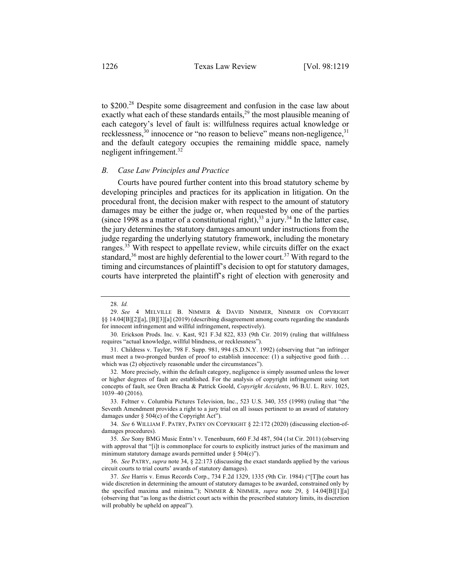to \$200.<sup>28</sup> Despite some disagreement and confusion in the case law about exactly what each of these standards entails, $2<sup>9</sup>$  the most plausible meaning of each category's level of fault is: willfulness requires actual knowledge or recklessness, $30$  innocence or "no reason to believe" means non-negligence, $31$ and the default category occupies the remaining middle space, namely negligent infringement. $32$ 

#### *B. Case Law Principles and Practice*

Courts have poured further content into this broad statutory scheme by developing principles and practices for its application in litigation. On the procedural front, the decision maker with respect to the amount of statutory damages may be either the judge or, when requested by one of the parties (since 1998 as a matter of a constitutional right),  $33$  a jury.<sup>34</sup> In the latter case, the jury determines the statutory damages amount under instructions from the judge regarding the underlying statutory framework, including the monetary ranges.<sup>35</sup> With respect to appellate review, while circuits differ on the exact standard, $36$  most are highly deferential to the lower court. $37$  With regard to the timing and circumstances of plaintiff's decision to opt for statutory damages, courts have interpreted the plaintiff's right of election with generosity and

<sup>28.</sup> *Id.*

<sup>29.</sup> *See* 4 MELVILLE B. NIMMER & DAVID NIMMER, NIMMER ON COPYRIGHT §§ 14.04[B][2][a], [B][3][a] (2019) (describing disagreement among courts regarding the standards for innocent infringement and willful infringement, respectively).

<sup>30.</sup> Erickson Prods. Inc. v. Kast, 921 F.3d 822, 833 (9th Cir. 2019) (ruling that willfulness requires "actual knowledge, willful blindness, or recklessness").

<sup>31.</sup> Childress v. Taylor, 798 F. Supp. 981, 994 (S.D.N.Y. 1992) (observing that "an infringer must meet a two-pronged burden of proof to establish innocence: (1) a subjective good faith . . . which was (2) objectively reasonable under the circumstances").

<sup>32.</sup> More precisely, within the default category, negligence is simply assumed unless the lower or higher degrees of fault are established. For the analysis of copyright infringement using tort concepts of fault, see Oren Bracha & Patrick Goold, *Copyright Accidents*, 96 B.U. L. REV. 1025, 1039–40 (2016).

<sup>33.</sup> Feltner v. Columbia Pictures Television, Inc., 523 U.S. 340, 355 (1998) (ruling that "the Seventh Amendment provides a right to a jury trial on all issues pertinent to an award of statutory damages under § 504(c) of the Copyright Act").

<sup>34.</sup> *See* 6 WILLIAM F. PATRY, PATRY ON COPYRIGHT § 22:172 (2020) (discussing election-ofdamages procedures).

<sup>35.</sup> *See* Sony BMG Music Entm't v. Tenenbaum, 660 F.3d 487, 504 (1st Cir. 2011) (observing with approval that "[i]t is commonplace for courts to explicitly instruct juries of the maximum and minimum statutory damage awards permitted under § 504(c)").

<sup>36.</sup> *See* PATRY, *supra* note 34, § 22:173 (discussing the exact standards applied by the various circuit courts to trial courts' awards of statutory damages).

<sup>37.</sup> *See* Harris v. Emus Records Corp., 734 F.2d 1329, 1335 (9th Cir. 1984) ("[T]he court has wide discretion in determining the amount of statutory damages to be awarded, constrained only by the specified maxima and minima."); NIMMER & NIMMER, *supra* note 29, § 14.04[B][1][a] (observing that "as long as the district court acts within the prescribed statutory limits, its discretion will probably be upheld on appeal").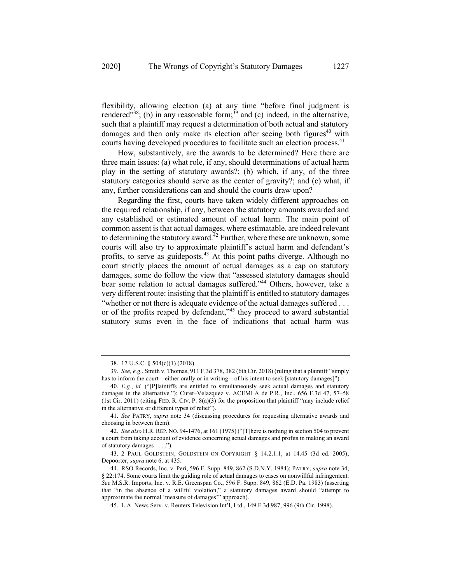flexibility, allowing election (a) at any time "before final judgment is rendered"<sup>38</sup>; (b) in any reasonable form;<sup>39</sup> and (c) indeed, in the alternative, such that a plaintiff may request a determination of both actual and statutory damages and then only make its election after seeing both figures<sup> $40$ </sup> with courts having developed procedures to facilitate such an election process.<sup>41</sup>

How, substantively, are the awards to be determined? Here there are three main issues: (a) what role, if any, should determinations of actual harm play in the setting of statutory awards?; (b) which, if any, of the three statutory categories should serve as the center of gravity?; and (c) what, if any, further considerations can and should the courts draw upon?

Regarding the first, courts have taken widely different approaches on the required relationship, if any, between the statutory amounts awarded and any established or estimated amount of actual harm. The main point of common assent is that actual damages, where estimatable, are indeed relevant to determining the statutory award.<sup> $42$ </sup> Further, where these are unknown, some courts will also try to approximate plaintiff's actual harm and defendant's profits, to serve as guideposts.<sup>43</sup> At this point paths diverge. Although no court strictly places the amount of actual damages as a cap on statutory damages, some do follow the view that "assessed statutory damages should bear some relation to actual damages suffered."<sup>44</sup> Others, however, take a very different route: insisting that the plaintiff is entitled to statutory damages "whether or not there is adequate evidence of the actual damages suffered . . . or of the profits reaped by defendant,"<sup>45</sup> they proceed to award substantial statutory sums even in the face of indications that actual harm was

45. L.A. News Serv. v. Reuters Television Int'l, Ltd., 149 F.3d 987, 996 (9th Cir. 1998).

<sup>38.</sup> 17 U.S.C. § 504(c)(1) (2018).

<sup>39.</sup> *See, e.g.*, Smith v. Thomas, 911 F.3d 378, 382 (6th Cir. 2018) (ruling that a plaintiff "simply has to inform the court—either orally or in writing—of his intent to seek [statutory damages]").

<sup>40.</sup> *E.g.*, *id.* ("[P]laintiffs are entitled to simultaneously seek actual damages and statutory damages in the alternative."); Curet–Velazquez v. ACEMLA de P.R., Inc., 656 F.3d 47, 57–58 (1st Cir. 2011) (citing FED. R. CIV. P.  $8(a)(3)$  for the proposition that plaintiff "may include relief in the alternative or different types of relief").

<sup>41.</sup> *See* PATRY, *supra* note 34 (discussing procedures for requesting alternative awards and choosing in between them).

<sup>42.</sup> *See also* H.R. REP. NO. 94-1476, at 161 (1975) ("[T]here is nothing in section 504 to prevent a court from taking account of evidence concerning actual damages and profits in making an award of statutory damages . . . .").

<sup>43.</sup> 2 PAUL GOLDSTEIN, GOLDSTEIN ON COPYRIGHT § 14.2.1.1, at 14.45 (3d ed. 2005); Depoorter, *supra* note 6, at 435.

<sup>44.</sup> RSO Records, Inc. v. Peri, 596 F. Supp. 849, 862 (S.D.N.Y. 1984); PATRY, *supra* note 34, § 22:174. Some courts limit the guiding role of actual damages to cases on nonwillful infringement. *See* M.S.R. Imports, Inc. v. R.E. Greenspan Co., 596 F. Supp. 849, 862 (E.D. Pa. 1983) (asserting that "in the absence of a willful violation," a statutory damages award should "attempt to approximate the normal 'measure of damages'" approach).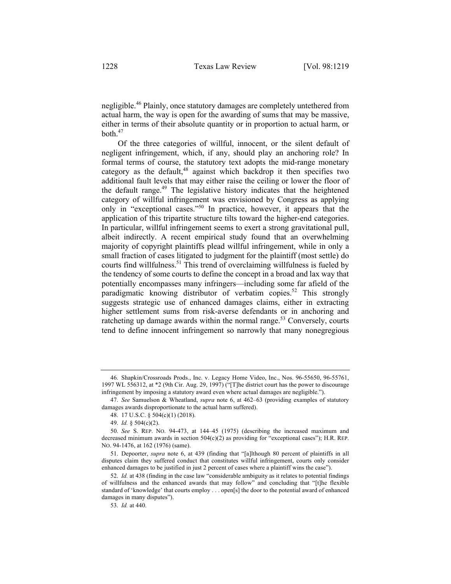negligible.<sup>46</sup> Plainly, once statutory damages are completely untethered from actual harm, the way is open for the awarding of sums that may be massive, either in terms of their absolute quantity or in proportion to actual harm, or  $both<sup>47</sup>$ 

Of the three categories of willful, innocent, or the silent default of negligent infringement, which, if any, should play an anchoring role? In formal terms of course, the statutory text adopts the mid-range monetary category as the default,<sup>48</sup> against which backdrop it then specifies two additional fault levels that may either raise the ceiling or lower the floor of the default range.<sup>49</sup> The legislative history indicates that the heightened category of willful infringement was envisioned by Congress as applying only in "exceptional cases."<sup>50</sup> In practice, however, it appears that the application of this tripartite structure tilts toward the higher-end categories. In particular, willful infringement seems to exert a strong gravitational pull, albeit indirectly. A recent empirical study found that an overwhelming majority of copyright plaintiffs plead willful infringement, while in only a small fraction of cases litigated to judgment for the plaintiff (most settle) do courts find willfulness.<sup>51</sup> This trend of overclaiming willfulness is fueled by the tendency of some courts to define the concept in a broad and lax way that potentially encompasses many infringers—including some far afield of the paradigmatic knowing distributor of verbatim copies.<sup>52</sup> This strongly suggests strategic use of enhanced damages claims, either in extracting higher settlement sums from risk-averse defendants or in anchoring and ratcheting up damage awards within the normal range.<sup>53</sup> Conversely, courts tend to define innocent infringement so narrowly that many nonegregious

<sup>46.</sup> Shapkin/Crossroads Prods., Inc. v. Legacy Home Video, Inc., Nos. 96-55650, 96-55761, 1997 WL 556312, at \*2 (9th Cir. Aug. 29, 1997) ("[T]he district court has the power to discourage infringement by imposing a statutory award even where actual damages are negligible.").

<sup>47.</sup> *See* Samuelson & Wheatland, *supra* note 6, at 462–63 (providing examples of statutory damages awards disproportionate to the actual harm suffered).

<sup>48.</sup> 17 U.S.C. § 504(c)(1) (2018).

<sup>49.</sup> *Id.* § 504(c)(2).

<sup>50.</sup> *See* S. REP. NO. 94-473, at 144–45 (1975) (describing the increased maximum and decreased minimum awards in section  $504(c)(2)$  as providing for "exceptional cases"); H.R. REP. NO. 94-1476, at 162 (1976) (same).

<sup>51.</sup> Depoorter, *supra* note 6, at 439 (finding that "[a]lthough 80 percent of plaintiffs in all disputes claim they suffered conduct that constitutes willful infringement, courts only consider enhanced damages to be justified in just 2 percent of cases where a plaintiff wins the case").

<sup>52.</sup> *Id.* at 438 (finding in the case law "considerable ambiguity as it relates to potential findings of willfulness and the enhanced awards that may follow" and concluding that "[t]he flexible standard of 'knowledge' that courts employ . . . open[s] the door to the potential award of enhanced damages in many disputes").

<sup>53.</sup> *Id.* at 440.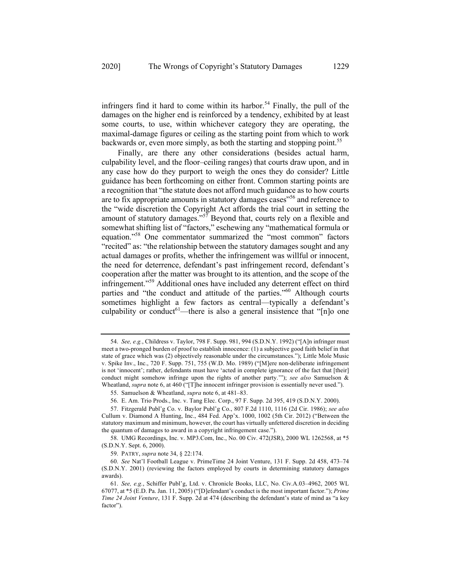infringers find it hard to come within its harbor.<sup>54</sup> Finally, the pull of the damages on the higher end is reinforced by a tendency, exhibited by at least some courts, to use, within whichever category they are operating, the maximal-damage figures or ceiling as the starting point from which to work backwards or, even more simply, as both the starting and stopping point.<sup>55</sup>

Finally, are there any other considerations (besides actual harm, culpability level, and the floor–ceiling ranges) that courts draw upon, and in any case how do they purport to weigh the ones they do consider? Little guidance has been forthcoming on either front. Common starting points are a recognition that "the statute does not afford much guidance as to how courts are to fix appropriate amounts in statutory damages cases"<sup>56</sup> and reference to the "wide discretion the Copyright Act affords the trial court in setting the amount of statutory damages."<sup>57</sup> Beyond that, courts rely on a flexible and somewhat shifting list of "factors," eschewing any "mathematical formula or equation."<sup>58</sup> One commentator summarized the "most common" factors "recited" as: "the relationship between the statutory damages sought and any actual damages or profits, whether the infringement was willful or innocent, the need for deterrence, defendant's past infringement record, defendant's cooperation after the matter was brought to its attention, and the scope of the infringement."<sup>59</sup> Additional ones have included any deterrent effect on third parties and "the conduct and attitude of the parties."60 Although courts sometimes highlight a few factors as central—typically a defendant's culpability or conduct<sup>61</sup>—there is also a general insistence that "[n]o one

<sup>54.</sup> *See, e.g.*, Childress v. Taylor, 798 F. Supp. 981, 994 (S.D.N.Y. 1992) ("[A]n infringer must meet a two-pronged burden of proof to establish innocence: (1) a subjective good faith belief in that state of grace which was (2) objectively reasonable under the circumstances."); Little Mole Music v. Spike Inv., Inc., 720 F. Supp. 751, 755 (W.D. Mo. 1989) ("[M]ere non-deliberate infringement is not 'innocent'; rather, defendants must have 'acted in complete ignorance of the fact that [their] conduct might somehow infringe upon the rights of another party.'"); *see also* Samuelson & Wheatland, *supra* note 6, at 460 ("[T]he innocent infringer provision is essentially never used.").

<sup>55.</sup> Samuelson & Wheatland, *supra* note 6, at 481–83.

<sup>56.</sup> E. Am. Trio Prods., Inc. v. Tang Elec. Corp., 97 F. Supp. 2d 395, 419 (S.D.N.Y. 2000).

<sup>57.</sup> Fitzgerald Publ'g Co. v. Baylor Publ'g Co., 807 F.2d 1110, 1116 (2d Cir. 1986); *see also* Cullum v. Diamond A Hunting, Inc., 484 Fed. App'x. 1000, 1002 (5th Cir. 2012) ("Between the statutory maximum and minimum, however, the court has virtually unfettered discretion in deciding the quantum of damages to award in a copyright infringement case.").

<sup>58.</sup> UMG Recordings, Inc. v. MP3.Com, Inc., No. 00 Civ. 472(JSR), 2000 WL 1262568, at \*5 (S.D.N.Y. Sept. 6, 2000).

<sup>59.</sup> PATRY, *supra* note 34, § 22:174.

<sup>60.</sup> *See* Nat'l Football League v. PrimeTime 24 Joint Venture, 131 F. Supp. 2d 458, 473–74 (S.D.N.Y. 2001) (reviewing the factors employed by courts in determining statutory damages awards).

<sup>61.</sup> *See, e.g.*, Schiffer Publ'g, Ltd. v. Chronicle Books, LLC, No. Civ.A.03–4962, 2005 WL 67077, at \*5 (E.D. Pa. Jan. 11, 2005) ("[D]efendant's conduct is the most important factor."); *Prime Time 24 Joint Venture*, 131 F. Supp. 2d at 474 (describing the defendant's state of mind as "a key factor").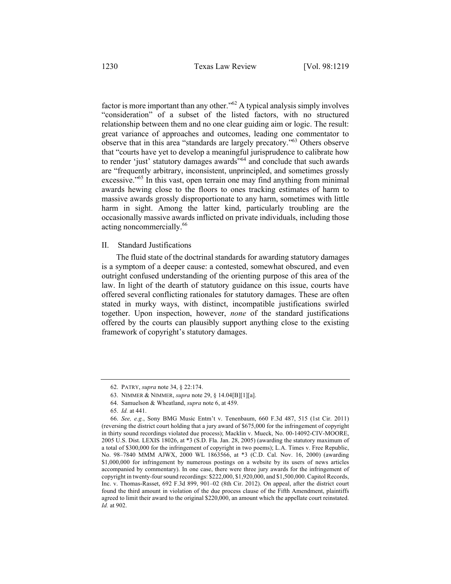factor is more important than any other."62 A typical analysis simply involves "consideration" of a subset of the listed factors, with no structured relationship between them and no one clear guiding aim or logic. The result: great variance of approaches and outcomes, leading one commentator to observe that in this area "standards are largely precatory."63 Others observe that "courts have yet to develop a meaningful jurisprudence to calibrate how to render 'just' statutory damages awards"64 and conclude that such awards are "frequently arbitrary, inconsistent, unprincipled, and sometimes grossly excessive."<sup>65</sup> In this vast, open terrain one may find anything from minimal awards hewing close to the floors to ones tracking estimates of harm to massive awards grossly disproportionate to any harm, sometimes with little harm in sight. Among the latter kind, particularly troubling are the occasionally massive awards inflicted on private individuals, including those acting noncommercially.<sup>66</sup>

### II. Standard Justifications

The fluid state of the doctrinal standards for awarding statutory damages is a symptom of a deeper cause: a contested, somewhat obscured, and even outright confused understanding of the orienting purpose of this area of the law. In light of the dearth of statutory guidance on this issue, courts have offered several conflicting rationales for statutory damages. These are often stated in murky ways, with distinct, incompatible justifications swirled together. Upon inspection, however, *none* of the standard justifications offered by the courts can plausibly support anything close to the existing framework of copyright's statutory damages.

64. Samuelson & Wheatland, *supra* note 6, at 459.

<sup>62.</sup> PATRY, *supra* note 34, § 22:174.

<sup>63.</sup> NIMMER & NIMMER, *supra* note 29, § 14.04[B][1][a].

<sup>65.</sup> *Id.* at 441.

<sup>66.</sup> *See, e.g.*, Sony BMG Music Entm't v. Tenenbaum, 660 F.3d 487, 515 (1st Cir. 2011) (reversing the district court holding that a jury award of \$675,000 for the infringement of copyright in thirty sound recordings violated due process); Macklin v. Mueck, No. 00-14092-CIV-MOORE, 2005 U.S. Dist. LEXIS 18026, at \*3 (S.D. Fla. Jan. 28, 2005) (awarding the statutory maximum of a total of \$300,000 for the infringement of copyright in two poems); L.A. Times v. Free Republic, No. 98–7840 MMM AJWX, 2000 WL 1863566, at \*3 (C.D. Cal. Nov. 16, 2000) (awarding \$1,000,000 for infringement by numerous postings on a website by its users of news articles accompanied by commentary). In one case, there were three jury awards for the infringement of copyright in twenty-four sound recordings: \$222,000, \$1,920,000, and \$1,500,000. Capitol Records, Inc. v. Thomas-Rasset, 692 F.3d 899, 901–02 (8th Cir. 2012). On appeal, after the district court found the third amount in violation of the due process clause of the Fifth Amendment, plaintiffs agreed to limit their award to the original \$220,000, an amount which the appellate court reinstated. *Id.* at 902.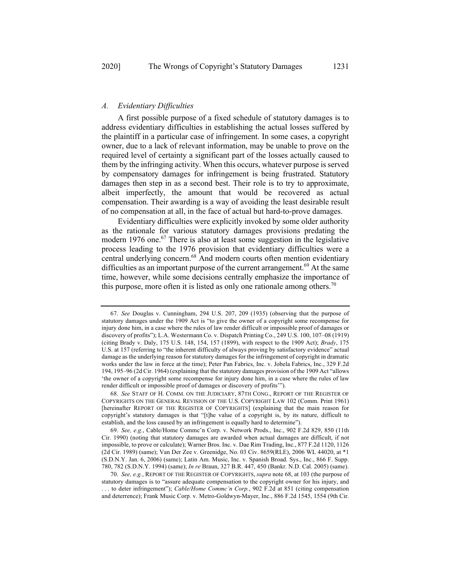# *A. Evidentiary Difficulties*

A first possible purpose of a fixed schedule of statutory damages is to address evidentiary difficulties in establishing the actual losses suffered by the plaintiff in a particular case of infringement. In some cases, a copyright owner, due to a lack of relevant information, may be unable to prove on the required level of certainty a significant part of the losses actually caused to them by the infringing activity. When this occurs, whatever purpose is served by compensatory damages for infringement is being frustrated. Statutory damages then step in as a second best. Their role is to try to approximate, albeit imperfectly, the amount that would be recovered as actual compensation. Their awarding is a way of avoiding the least desirable result of no compensation at all, in the face of actual but hard-to-prove damages.

Evidentiary difficulties were explicitly invoked by some older authority as the rationale for various statutory damages provisions predating the modern 1976 one.<sup>67</sup> There is also at least some suggestion in the legislative process leading to the 1976 provision that evidentiary difficulties were a central underlying concern.<sup>68</sup> And modern courts often mention evidentiary difficulties as an important purpose of the current arrangement.<sup>69</sup> At the same time, however, while some decisions centrally emphasize the importance of this purpose, more often it is listed as only one rationale among others.<sup>70</sup>

<sup>67.</sup> *See* Douglas v. Cunningham, 294 U.S. 207, 209 (1935) (observing that the purpose of statutory damages under the 1909 Act is "to give the owner of a copyright some recompense for injury done him, in a case where the rules of law render difficult or impossible proof of damages or discovery of profits"); L.A. Westermann Co. v. Dispatch Printing Co., 249 U.S. 100, 107–08 (1919) (citing Brady v. Daly, 175 U.S. 148, 154, 157 (1899), with respect to the 1909 Act); *Brady*, 175 U.S. at 157 (referring to "the inherent difficulty of always proving by satisfactory evidence" actual damage as the underlying reason for statutory damages for the infringement of copyright in dramatic works under the law in force at the time); Peter Pan Fabrics, Inc. v. Jobela Fabrics, Inc., 329 F.2d 194, 195–96 (2d Cir. 1964) (explaining that the statutory damages provision of the 1909 Act "allows 'the owner of a copyright some recompense for injury done him, in a case where the rules of law render difficult or impossible proof of damages or discovery of profits'").

<sup>68.</sup> *See* STAFF OF H. COMM. ON THE JUDICIARY, 87TH CONG., REPORT OF THE REGISTER OF COPYRIGHTS ON THE GENERAL REVISION OF THE U.S. COPYRIGHT LAW 102 (Comm. Print 1961) [hereinafter REPORT OF THE REGISTER OF COPYRIGHTS] (explaining that the main reason for copyright's statutory damages is that "[t]he value of a copyright is, by its nature, difficult to establish, and the loss caused by an infringement is equally hard to determine").

<sup>69.</sup> *See, e.g.*, Cable/Home Commc'n Corp. v. Network Prods., Inc., 902 F.2d 829, 850 (11th Cir. 1990) (noting that statutory damages are awarded when actual damages are difficult, if not impossible, to prove or calculate); Warner Bros. Inc. v. Dae Rim Trading, Inc., 877 F.2d 1120, 1126 (2d Cir. 1989) (same); Van Der Zee v. Greenidge, No. 03 Civ. 8659(RLE), 2006 WL 44020, at \*1 (S.D.N.Y. Jan. 6, 2006) (same); Latin Am. Music, Inc. v. Spanish Broad. Sys., Inc., 866 F. Supp. 780, 782 (S.D.N.Y. 1994) (same); *In re* Braun, 327 B.R. 447, 450 (Bankr. N.D. Cal. 2005) (same).

<sup>70.</sup> *See, e.g.*, REPORT OF THE REGISTER OF COPYRIGHTS, *supra* note 68, at 103 (the purpose of statutory damages is to "assure adequate compensation to the copyright owner for his injury, and . . . to deter infringement"); *Cable/Home Commc'n Corp.*, 902 F.2d at 851 (citing compensation and deterrence); Frank Music Corp. v. Metro-Goldwyn-Mayer, Inc., 886 F.2d 1545, 1554 (9th Cir.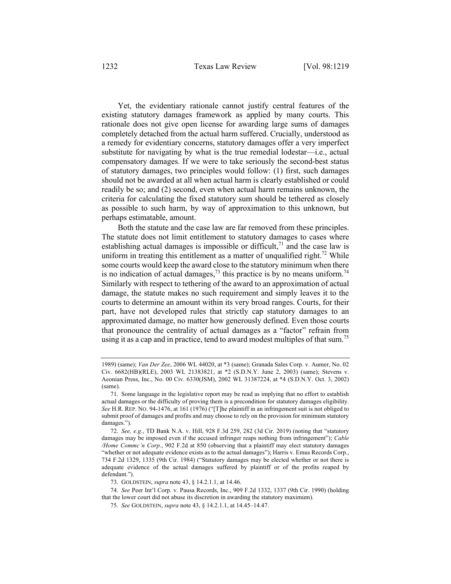Yet, the evidentiary rationale cannot justify central features of the existing statutory damages framework as applied by many courts. This rationale does not give open license for awarding large sums of damages completely detached from the actual harm suffered. Crucially, understood as a remedy for evidentiary concerns, statutory damages offer a very imperfect substitute for navigating by what is the true remedial lodestar—i.e., actual compensatory damages. If we were to take seriously the second-best status of statutory damages, two principles would follow: (1) first, such damages should not be awarded at all when actual harm is clearly established or could readily be so; and (2) second, even when actual harm remains unknown, the criteria for calculating the fixed statutory sum should be tethered as closely as possible to such harm, by way of approximation to this unknown, but perhaps estimatable, amount.

Both the statute and the case law are far removed from these principles. The statute does not limit entitlement to statutory damages to cases where establishing actual damages is impossible or difficult,<sup> $71$ </sup> and the case law is uniform in treating this entitlement as a matter of unqualified right.<sup>72</sup> While some courts would keep the award close to the statutory minimum when there is no indication of actual damages,<sup>73</sup> this practice is by no means uniform.<sup>74</sup> Similarly with respect to tethering of the award to an approximation of actual damage, the statute makes no such requirement and simply leaves it to the courts to determine an amount within its very broad ranges. Courts, for their part, have not developed rules that strictly cap statutory damages to an approximated damage, no matter how generously defined. Even those courts that pronounce the centrality of actual damages as a "factor" refrain from using it as a cap and in practice, tend to award modest multiples of that sum.<sup>75</sup>

<sup>1989)</sup> (same); *Van Der Zee*, 2006 WL 44020, at \*3 (same); Granada Sales Corp. v. Aumer, No. 02 Civ. 6682(HB)(RLE), 2003 WL 21383821, at \*2 (S.D.N.Y. June 2, 2003) (same); Stevens v. Aeonian Press, Inc., No. 00 Civ. 6330(JSM), 2002 WL 31387224, at \*4 (S.D.N.Y. Oct. 3, 2002) (same).

<sup>71.</sup> Some language in the legislative report may be read as implying that no effort to establish actual damages or the difficulty of proving them is a precondition for statutory damages eligibility. *See* H.R. REP. NO. 94-1476, at 161 (1976) ("[T]he plaintiff in an infringement suit is not obliged to submit proof of damages and profits and may choose to rely on the provision for minimum statutory damages.").

<sup>72.</sup> *See, e.g.*, TD Bank N.A. v. Hill, 928 F.3d 259, 282 (3d Cir. 2019) (noting that "statutory damages may be imposed even if the accused infringer reaps nothing from infringement"); *Cable /Home Commc'n Corp.*, 902 F.2d at 850 (observing that a plaintiff may elect statutory damages "whether or not adequate evidence exists as to the actual damages"); Harris v. Emus Records Corp., 734 F.2d 1329, 1335 (9th Cir. 1984) ("Statutory damages may be elected whether or not there is adequate evidence of the actual damages suffered by plaintiff or of the profits reaped by defendant.").

<sup>73.</sup> GOLDSTEIN, *supra* note 43, § 14.2.1.1, at 14.46.

<sup>74.</sup> *See* Peer Int'l Corp. v. Pausa Records, Inc., 909 F.2d 1332, 1337 (9th Cir. 1990) (holding that the lower court did not abuse its discretion in awarding the statutory maximum).

<sup>75.</sup> *See* GOLDSTEIN, *supra* note 43, § 14.2.1.1, at 14.45–14.47.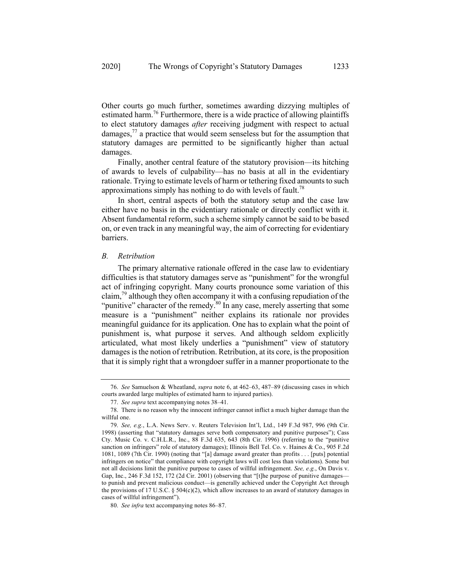Other courts go much further, sometimes awarding dizzying multiples of estimated harm.<sup>76</sup> Furthermore, there is a wide practice of allowing plaintiffs to elect statutory damages *after* receiving judgment with respect to actual damages, $^{77}$  a practice that would seem senseless but for the assumption that statutory damages are permitted to be significantly higher than actual damages.

Finally, another central feature of the statutory provision—its hitching of awards to levels of culpability—has no basis at all in the evidentiary rationale. Trying to estimate levels of harm or tethering fixed amounts to such approximations simply has nothing to do with levels of fault.<sup>78</sup>

In short, central aspects of both the statutory setup and the case law either have no basis in the evidentiary rationale or directly conflict with it. Absent fundamental reform, such a scheme simply cannot be said to be based on, or even track in any meaningful way, the aim of correcting for evidentiary barriers.

#### *B. Retribution*

The primary alternative rationale offered in the case law to evidentiary difficulties is that statutory damages serve as "punishment" for the wrongful act of infringing copyright. Many courts pronounce some variation of this claim, $^{79}$  although they often accompany it with a confusing repudiation of the "punitive" character of the remedy.<sup>80</sup> In any case, merely asserting that some measure is a "punishment" neither explains its rationale nor provides meaningful guidance for its application. One has to explain what the point of punishment is, what purpose it serves. And although seldom explicitly articulated, what most likely underlies a "punishment" view of statutory damages is the notion of retribution. Retribution, at its core, is the proposition that it is simply right that a wrongdoer suffer in a manner proportionate to the

<sup>76.</sup> *See* Samuelson & Wheatland, *supra* note 6, at 462–63, 487–89 (discussing cases in which courts awarded large multiples of estimated harm to injured parties).

<sup>77.</sup> *See supra* text accompanying notes 38–41.

<sup>78.</sup> There is no reason why the innocent infringer cannot inflict a much higher damage than the willful one.

<sup>79.</sup> *See, e.g.*, L.A. News Serv. v. Reuters Television Int'l, Ltd., 149 F.3d 987, 996 (9th Cir. 1998) (asserting that "statutory damages serve both compensatory and punitive purposes"); Cass Cty. Music Co. v. C.H.L.R., Inc., 88 F.3d 635, 643 (8th Cir. 1996) (referring to the "punitive sanction on infringers" role of statutory damages); Illinois Bell Tel. Co. v. Haines & Co., 905 F.2d 1081, 1089 (7th Cir. 1990) (noting that "[a] damage award greater than profits . . . [puts] potential infringers on notice" that compliance with copyright laws will cost less than violations). Some but not all decisions limit the punitive purpose to cases of willful infringement. *See, e.g.*, On Davis v. Gap, Inc., 246 F.3d 152, 172 (2d Cir. 2001) (observing that "[t]he purpose of punitive damages to punish and prevent malicious conduct—is generally achieved under the Copyright Act through the provisions of 17 U.S.C.  $\S 504(c)(2)$ , which allow increases to an award of statutory damages in cases of willful infringement").

<sup>80.</sup> *See infra* text accompanying notes 86–87.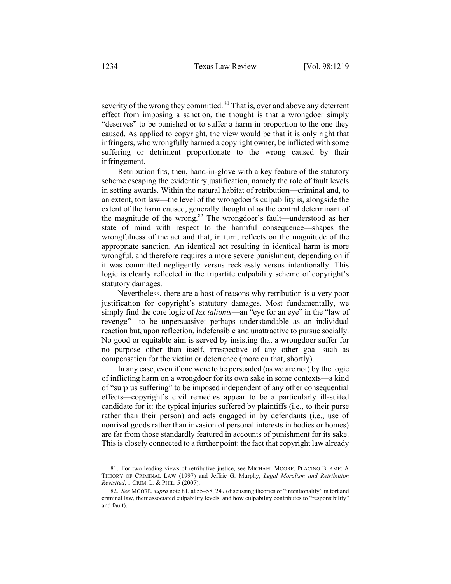severity of the wrong they committed. <sup>81</sup> That is, over and above any deterrent effect from imposing a sanction, the thought is that a wrongdoer simply "deserves" to be punished or to suffer a harm in proportion to the one they caused. As applied to copyright, the view would be that it is only right that infringers, who wrongfully harmed a copyright owner, be inflicted with some suffering or detriment proportionate to the wrong caused by their infringement.

Retribution fits, then, hand-in-glove with a key feature of the statutory scheme escaping the evidentiary justification, namely the role of fault levels in setting awards. Within the natural habitat of retribution—criminal and, to an extent, tort law—the level of the wrongdoer's culpability is, alongside the extent of the harm caused, generally thought of as the central determinant of the magnitude of the wrong.82 The wrongdoer's fault—understood as her state of mind with respect to the harmful consequence—shapes the wrongfulness of the act and that, in turn, reflects on the magnitude of the appropriate sanction. An identical act resulting in identical harm is more wrongful, and therefore requires a more severe punishment, depending on if it was committed negligently versus recklessly versus intentionally. This logic is clearly reflected in the tripartite culpability scheme of copyright's statutory damages.

Nevertheless, there are a host of reasons why retribution is a very poor justification for copyright's statutory damages. Most fundamentally, we simply find the core logic of *lex talionis*—an "eye for an eye" in the "law of revenge"—to be unpersuasive: perhaps understandable as an individual reaction but, upon reflection, indefensible and unattractive to pursue socially. No good or equitable aim is served by insisting that a wrongdoer suffer for no purpose other than itself, irrespective of any other goal such as compensation for the victim or deterrence (more on that, shortly).

In any case, even if one were to be persuaded (as we are not) by the logic of inflicting harm on a wrongdoer for its own sake in some contexts—a kind of "surplus suffering" to be imposed independent of any other consequential effects—copyright's civil remedies appear to be a particularly ill-suited candidate for it: the typical injuries suffered by plaintiffs (i.e., to their purse rather than their person) and acts engaged in by defendants (i.e., use of nonrival goods rather than invasion of personal interests in bodies or homes) are far from those standardly featured in accounts of punishment for its sake. This is closely connected to a further point: the fact that copyright law already

<sup>81.</sup> For two leading views of retributive justice, see MICHAEL MOORE, PLACING BLAME: A THEORY OF CRIMINAL LAW (1997) and Jeffrie G. Murphy, *Legal Moralism and Retribution Revisited*, 1 CRIM. L. & PHIL. 5 (2007).

<sup>82.</sup> *See* MOORE, *supra* note 81, at 55–58, 249 (discussing theories of "intentionality" in tort and criminal law, their associated culpability levels, and how culpability contributes to "responsibility" and fault).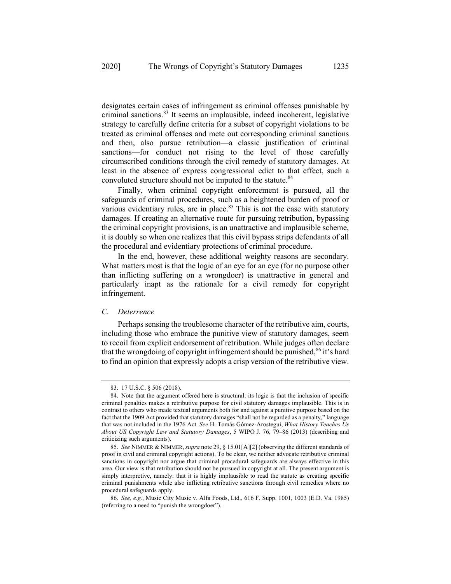designates certain cases of infringement as criminal offenses punishable by criminal sanctions.<sup>83</sup> It seems an implausible, indeed incoherent, legislative strategy to carefully define criteria for a subset of copyright violations to be treated as criminal offenses and mete out corresponding criminal sanctions and then, also pursue retribution—a classic justification of criminal sanctions—for conduct not rising to the level of those carefully circumscribed conditions through the civil remedy of statutory damages. At least in the absence of express congressional edict to that effect, such a convoluted structure should not be imputed to the statute.<sup>84</sup>

Finally, when criminal copyright enforcement is pursued, all the safeguards of criminal procedures, such as a heightened burden of proof or various evidentiary rules, are in place.<sup>85</sup> This is not the case with statutory damages. If creating an alternative route for pursuing retribution, bypassing the criminal copyright provisions, is an unattractive and implausible scheme, it is doubly so when one realizes that this civil bypass strips defendants of all the procedural and evidentiary protections of criminal procedure.

In the end, however, these additional weighty reasons are secondary. What matters most is that the logic of an eye for an eye (for no purpose other than inflicting suffering on a wrongdoer) is unattractive in general and particularly inapt as the rationale for a civil remedy for copyright infringement.

# *C. Deterrence*

Perhaps sensing the troublesome character of the retributive aim, courts, including those who embrace the punitive view of statutory damages, seem to recoil from explicit endorsement of retribution. While judges often declare that the wrongdoing of copyright infringement should be punished,  $86$  it's hard to find an opinion that expressly adopts a crisp version of the retributive view.

<sup>83.</sup> 17 U.S.C. § 506 (2018).

<sup>84.</sup> Note that the argument offered here is structural: its logic is that the inclusion of specific criminal penalties makes a retributive purpose for civil statutory damages implausible. This is in contrast to others who made textual arguments both for and against a punitive purpose based on the fact that the 1909 Act provided that statutory damages "shall not be regarded as a penalty," language that was not included in the 1976 Act. *See* H. Tomás Gómez-Arostegui, *What History Teaches Us About US Copyright Law and Statutory Damages*, 5 WIPO J. 76, 79–86 (2013) (describing and criticizing such arguments).

<sup>85.</sup> *See* NIMMER & NIMMER, *supra* note 29, § 15.01[A][2] (observing the different standards of proof in civil and criminal copyright actions). To be clear, we neither advocate retributive criminal sanctions in copyright nor argue that criminal procedural safeguards are always effective in this area. Our view is that retribution should not be pursued in copyright at all. The present argument is simply interpretive, namely: that it is highly implausible to read the statute as creating specific criminal punishments while also inflicting retributive sanctions through civil remedies where no procedural safeguards apply.

<sup>86.</sup> *See, e.g.*, Music City Music v. Alfa Foods, Ltd., 616 F. Supp. 1001, 1003 (E.D. Va. 1985) (referring to a need to "punish the wrongdoer").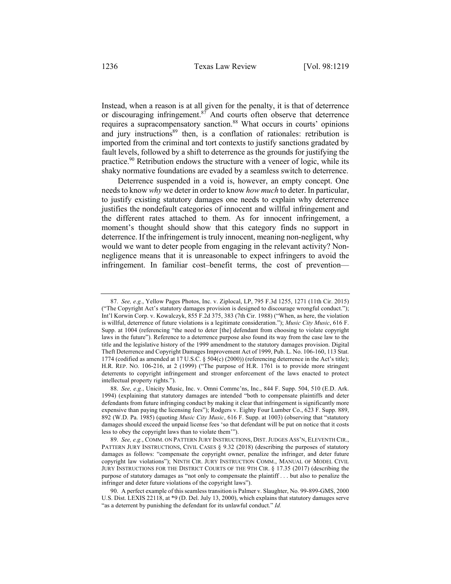Instead, when a reason is at all given for the penalty, it is that of deterrence or discouraging infringement. $87$  And courts often observe that deterrence requires a supracompensatory sanction.<sup>88</sup> What occurs in courts' opinions and jury instructions $89$  then, is a conflation of rationales: retribution is imported from the criminal and tort contexts to justify sanctions gradated by fault levels, followed by a shift to deterrence as the grounds for justifying the practice.<sup>90</sup> Retribution endows the structure with a veneer of logic, while its shaky normative foundations are evaded by a seamless switch to deterrence.

Deterrence suspended in a void is, however, an empty concept. One needs to know *why* we deter in order to know *how much* to deter. In particular, to justify existing statutory damages one needs to explain why deterrence justifies the nondefault categories of innocent and willful infringement and the different rates attached to them. As for innocent infringement, a moment's thought should show that this category finds no support in deterrence. If the infringement is truly innocent, meaning non-negligent, why would we want to deter people from engaging in the relevant activity? Nonnegligence means that it is unreasonable to expect infringers to avoid the infringement. In familiar cost–benefit terms, the cost of prevention—

<sup>87.</sup> *See, e.g.*, Yellow Pages Photos, Inc. v. Ziplocal, LP, 795 F.3d 1255, 1271 (11th Cir. 2015) ("The Copyright Act's statutory damages provision is designed to discourage wrongful conduct."); Int'l Korwin Corp. v. Kowalczyk, 855 F.2d 375, 383 (7th Cir. 1988) ("When, as here, the violation is willful, deterrence of future violations is a legitimate consideration."); *Music City Music*, 616 F. Supp. at 1004 (referencing "the need to deter [the] defendant from choosing to violate copyright laws in the future"). Reference to a deterrence purpose also found its way from the case law to the title and the legislative history of the 1999 amendment to the statutory damages provision. Digital Theft Deterrence and Copyright Damages Improvement Act of 1999, Pub. L. No. 106-160, 113 Stat. 1774 (codified as amended at 17 U.S.C. § 504(c) (2000)) (referencing deterrence in the Act's title); H.R. REP. NO. 106-216, at 2 (1999) ("The purpose of H.R. 1761 is to provide more stringent deterrents to copyright infringement and stronger enforcement of the laws enacted to protect intellectual property rights.").

<sup>88.</sup> *See, e.g.*, Unicity Music, Inc. v. Omni Commc'ns, Inc., 844 F. Supp. 504, 510 (E.D. Ark. 1994) (explaining that statutory damages are intended "both to compensate plaintiffs and deter defendants from future infringing conduct by making it clear that infringement is significantly more expensive than paying the licensing fees"); Rodgers v. Eighty Four Lumber Co., 623 F. Supp. 889, 892 (W.D. Pa. 1985) (quoting *Music City Music*, 616 F. Supp. at 1003) (observing that "statutory damages should exceed the unpaid license fees 'so that defendant will be put on notice that it costs less to obey the copyright laws than to violate them'").

<sup>89.</sup> *See, e.g.*, COMM. ON PATTERN JURY INSTRUCTIONS, DIST.JUDGES ASS'N, ELEVENTH CIR., PATTERN JURY INSTRUCTIONS, CIVIL CASES § 9.32 (2018) (describing the purposes of statutory damages as follows: "compensate the copyright owner, penalize the infringer, and deter future copyright law violations"); NINTH CIR. JURY INSTRUCTION COMM., MANUAL OF MODEL CIVIL JURY INSTRUCTIONS FOR THE DISTRICT COURTS OF THE 9TH CIR. § 17.35 (2017) (describing the purpose of statutory damages as "not only to compensate the plaintiff . . . but also to penalize the infringer and deter future violations of the copyright laws").

<sup>90.</sup> A perfect example of this seamless transition is Palmer v. Slaughter, No. 99-899-GMS, 2000 U.S. Dist. LEXIS 22118, at \*9 (D. Del. July 13, 2000), which explains that statutory damages serve "as a deterrent by punishing the defendant for its unlawful conduct." *Id.*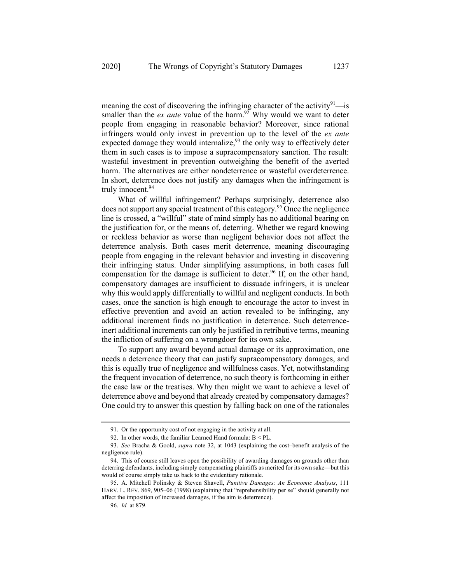meaning the cost of discovering the infringing character of the activity $91$ —is smaller than the  $ex$  *ante* value of the harm.<sup>92</sup> Why would we want to deter people from engaging in reasonable behavior? Moreover, since rational infringers would only invest in prevention up to the level of the *ex ante* expected damage they would internalize,  $93$  the only way to effectively deter them in such cases is to impose a supracompensatory sanction. The result: wasteful investment in prevention outweighing the benefit of the averted harm. The alternatives are either nondeterrence or wasteful overdeterrence. In short, deterrence does not justify any damages when the infringement is truly innocent.<sup>94</sup>

What of willful infringement? Perhaps surprisingly, deterrence also does not support any special treatment of this category.<sup>95</sup> Once the negligence line is crossed, a "willful" state of mind simply has no additional bearing on the justification for, or the means of, deterring. Whether we regard knowing or reckless behavior as worse than negligent behavior does not affect the deterrence analysis. Both cases merit deterrence, meaning discouraging people from engaging in the relevant behavior and investing in discovering their infringing status. Under simplifying assumptions, in both cases full compensation for the damage is sufficient to deter.<sup>96</sup> If, on the other hand, compensatory damages are insufficient to dissuade infringers, it is unclear why this would apply differentially to willful and negligent conducts. In both cases, once the sanction is high enough to encourage the actor to invest in effective prevention and avoid an action revealed to be infringing, any additional increment finds no justification in deterrence. Such deterrenceinert additional increments can only be justified in retributive terms, meaning the infliction of suffering on a wrongdoer for its own sake.

To support any award beyond actual damage or its approximation, one needs a deterrence theory that can justify supracompensatory damages, and this is equally true of negligence and willfulness cases. Yet, notwithstanding the frequent invocation of deterrence, no such theory is forthcoming in either the case law or the treatises. Why then might we want to achieve a level of deterrence above and beyond that already created by compensatory damages? One could try to answer this question by falling back on one of the rationales

<sup>91.</sup> Or the opportunity cost of not engaging in the activity at all.

<sup>92.</sup> In other words, the familiar Learned Hand formula: B < PL.

<sup>93.</sup> *See* Bracha & Goold, *supra* note 32, at 1043 (explaining the cost–benefit analysis of the negligence rule).

<sup>94.</sup> This of course still leaves open the possibility of awarding damages on grounds other than deterring defendants, including simply compensating plaintiffs as merited for its own sake—but this would of course simply take us back to the evidentiary rationale.

<sup>95.</sup> A. Mitchell Polinsky & Steven Shavell, *Punitive Damages: An Economic Analysis*, 111 HARV. L. REV. 869, 905–06 (1998) (explaining that "reprehensibility per se" should generally not affect the imposition of increased damages, if the aim is deterrence).

<sup>96.</sup> *Id.* at 879.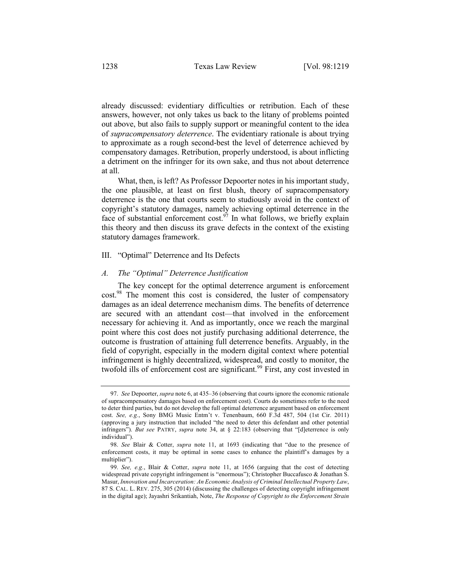already discussed: evidentiary difficulties or retribution. Each of these answers, however, not only takes us back to the litany of problems pointed out above, but also fails to supply support or meaningful content to the idea of *supracompensatory deterrence*. The evidentiary rationale is about trying to approximate as a rough second-best the level of deterrence achieved by compensatory damages. Retribution, properly understood, is about inflicting a detriment on the infringer for its own sake, and thus not about deterrence at all.

What, then, is left? As Professor Depoorter notes in his important study, the one plausible, at least on first blush, theory of supracompensatory deterrence is the one that courts seem to studiously avoid in the context of copyright's statutory damages, namely achieving optimal deterrence in the face of substantial enforcement cost.<sup>97</sup> In what follows, we briefly explain this theory and then discuss its grave defects in the context of the existing statutory damages framework.

#### III. "Optimal" Deterrence and Its Defects

#### *A. The "Optimal" Deterrence Justification*

The key concept for the optimal deterrence argument is enforcement cost.<sup>98</sup> The moment this cost is considered, the luster of compensatory damages as an ideal deterrence mechanism dims. The benefits of deterrence are secured with an attendant cost—that involved in the enforcement necessary for achieving it. And as importantly, once we reach the marginal point where this cost does not justify purchasing additional deterrence, the outcome is frustration of attaining full deterrence benefits. Arguably, in the field of copyright, especially in the modern digital context where potential infringement is highly decentralized, widespread, and costly to monitor, the twofold ills of enforcement cost are significant.<sup>99</sup> First, any cost invested in

<sup>97.</sup> *See* Depoorter, *supra* note 6, at 435–36 (observing that courts ignore the economic rationale of supracompensatory damages based on enforcement cost). Courts do sometimes refer to the need to deter third parties, but do not develop the full optimal deterrence argument based on enforcement cost. *See, e.g.*, Sony BMG Music Entm't v. Tenenbaum, 660 F.3d 487, 504 (1st Cir. 2011) (approving a jury instruction that included "the need to deter this defendant and other potential infringers"). *But see* PATRY, *supra* note 34, at § 22:183 (observing that "[d]eterrence is only individual").

<sup>98.</sup> *See* Blair & Cotter, *supra* note 11, at 1693 (indicating that "due to the presence of enforcement costs, it may be optimal in some cases to enhance the plaintiff's damages by a multiplier").

<sup>99.</sup> *See, e.g.*, Blair & Cotter, *supra* note 11, at 1656 (arguing that the cost of detecting widespread private copyright infringement is "enormous"); Christopher Buccafusco & Jonathan S. Masur, *Innovation and Incarceration: An Economic Analysis of Criminal Intellectual Property Law*, 87 S. CAL. L. REV. 275, 305 (2014) (discussing the challenges of detecting copyright infringement in the digital age); Jayashri Srikantiah, Note, *The Response of Copyright to the Enforcement Strain*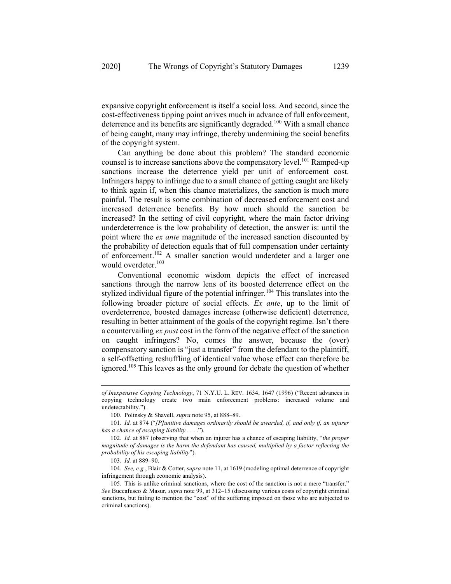expansive copyright enforcement is itself a social loss. And second, since the cost-effectiveness tipping point arrives much in advance of full enforcement, deterrence and its benefits are significantly degraded.<sup>100</sup> With a small chance of being caught, many may infringe, thereby undermining the social benefits of the copyright system.

Can anything be done about this problem? The standard economic counsel is to increase sanctions above the compensatory level.<sup>101</sup> Ramped-up sanctions increase the deterrence yield per unit of enforcement cost. Infringers happy to infringe due to a small chance of getting caught are likely to think again if, when this chance materializes, the sanction is much more painful. The result is some combination of decreased enforcement cost and increased deterrence benefits. By how much should the sanction be increased? In the setting of civil copyright, where the main factor driving underdeterrence is the low probability of detection, the answer is: until the point where the *ex ante* magnitude of the increased sanction discounted by the probability of detection equals that of full compensation under certainty of enforcement.<sup>102</sup> A smaller sanction would underdeter and a larger one would overdeter.<sup>103</sup>

Conventional economic wisdom depicts the effect of increased sanctions through the narrow lens of its boosted deterrence effect on the stylized individual figure of the potential infringer.<sup>104</sup> This translates into the following broader picture of social effects. *Ex ante*, up to the limit of overdeterrence, boosted damages increase (otherwise deficient) deterrence, resulting in better attainment of the goals of the copyright regime. Isn't there a countervailing *ex post* cost in the form of the negative effect of the sanction on caught infringers? No, comes the answer, because the (over) compensatory sanction is "just a transfer" from the defendant to the plaintiff, a self-offsetting reshuffling of identical value whose effect can therefore be ignored.<sup>105</sup> This leaves as the only ground for debate the question of whether

*of Inexpensive Copying Technology*, 71 N.Y.U. L. REV. 1634, 1647 (1996) ("Recent advances in copying technology create two main enforcement problems: increased volume and undetectability.").

<sup>100.</sup> Polinsky & Shavell, *supra* note 95, at 888–89.

<sup>101.</sup> *Id.* at 874 ("*[P]unitive damages ordinarily should be awarded, if, and only if, an injurer has a chance of escaping liability* . . . .").

<sup>102.</sup> *Id.* at 887 (observing that when an injurer has a chance of escaping liability, "*the proper magnitude of damages is the harm the defendant has caused, multiplied by a factor reflecting the probability of his escaping liability*").

<sup>103.</sup> *Id.* at 889–90.

<sup>104.</sup> *See, e.g.*, Blair & Cotter, *supra* note 11, at 1619 (modeling optimal deterrence of copyright infringement through economic analysis).

<sup>105.</sup> This is unlike criminal sanctions, where the cost of the sanction is not a mere "transfer." *See* Buccafusco & Masur, *supra* note 99, at 312–15 (discussing various costs of copyright criminal sanctions, but failing to mention the "cost" of the suffering imposed on those who are subjected to criminal sanctions).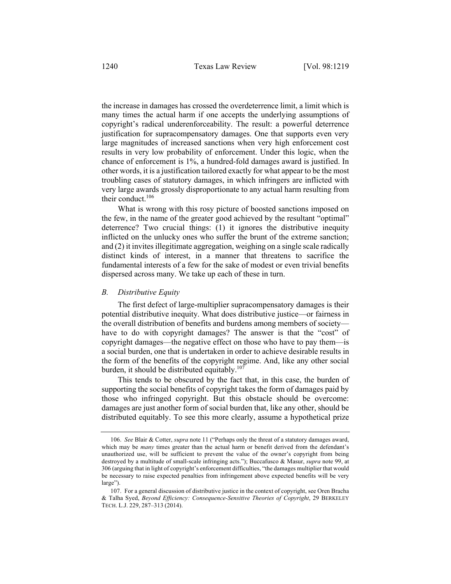the increase in damages has crossed the overdeterrence limit, a limit which is many times the actual harm if one accepts the underlying assumptions of copyright's radical underenforceability. The result: a powerful deterrence justification for supracompensatory damages. One that supports even very large magnitudes of increased sanctions when very high enforcement cost results in very low probability of enforcement. Under this logic, when the chance of enforcement is 1%, a hundred-fold damages award is justified. In other words, it is a justification tailored exactly for what appear to be the most troubling cases of statutory damages, in which infringers are inflicted with very large awards grossly disproportionate to any actual harm resulting from their conduct.<sup>106</sup>

What is wrong with this rosy picture of boosted sanctions imposed on the few, in the name of the greater good achieved by the resultant "optimal" deterrence? Two crucial things: (1) it ignores the distributive inequity inflicted on the unlucky ones who suffer the brunt of the extreme sanction; and (2) it invites illegitimate aggregation, weighing on a single scale radically distinct kinds of interest, in a manner that threatens to sacrifice the fundamental interests of a few for the sake of modest or even trivial benefits dispersed across many. We take up each of these in turn.

## *B. Distributive Equity*

The first defect of large-multiplier supracompensatory damages is their potential distributive inequity. What does distributive justice—or fairness in the overall distribution of benefits and burdens among members of society have to do with copyright damages? The answer is that the "cost" of copyright damages—the negative effect on those who have to pay them—is a social burden, one that is undertaken in order to achieve desirable results in the form of the benefits of the copyright regime. And, like any other social burden, it should be distributed equitably.<sup>107</sup>

This tends to be obscured by the fact that, in this case, the burden of supporting the social benefits of copyright takes the form of damages paid by those who infringed copyright. But this obstacle should be overcome: damages are just another form of social burden that, like any other, should be distributed equitably. To see this more clearly, assume a hypothetical prize

<sup>106.</sup> *See* Blair & Cotter, *supra* note 11 ("Perhaps only the threat of a statutory damages award, which may be *many* times greater than the actual harm or benefit derived from the defendant's unauthorized use, will be sufficient to prevent the value of the owner's copyright from being destroyed by a multitude of small-scale infringing acts."); Buccafusco & Masur, *supra* note 99, at 306 (arguing that in light of copyright's enforcement difficulties, "the damages multiplier that would be necessary to raise expected penalties from infringement above expected benefits will be very large").

<sup>107.</sup> For a general discussion of distributive justice in the context of copyright, see Oren Bracha & Talha Syed, *Beyond Efficiency: Consequence-Sensitive Theories of Copyright*, 29 BERKELEY TECH. L.J. 229, 287–313 (2014).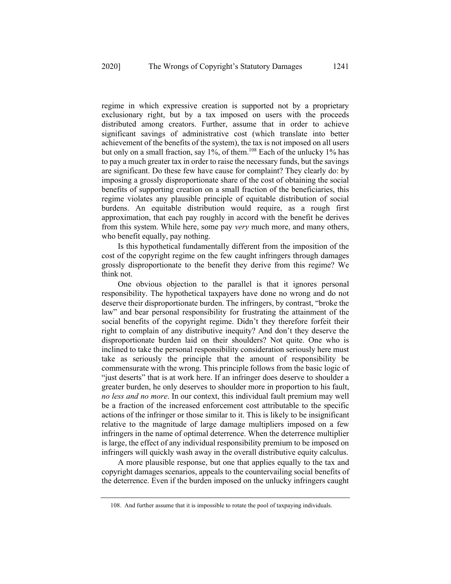regime in which expressive creation is supported not by a proprietary exclusionary right, but by a tax imposed on users with the proceeds distributed among creators. Further, assume that in order to achieve significant savings of administrative cost (which translate into better achievement of the benefits of the system), the tax is not imposed on all users but only on a small fraction, say 1%, of them.<sup>108</sup> Each of the unlucky 1% has to pay a much greater tax in order to raise the necessary funds, but the savings are significant. Do these few have cause for complaint? They clearly do: by imposing a grossly disproportionate share of the cost of obtaining the social benefits of supporting creation on a small fraction of the beneficiaries, this regime violates any plausible principle of equitable distribution of social burdens. An equitable distribution would require, as a rough first approximation, that each pay roughly in accord with the benefit he derives from this system. While here, some pay *very* much more, and many others, who benefit equally, pay nothing.

Is this hypothetical fundamentally different from the imposition of the cost of the copyright regime on the few caught infringers through damages grossly disproportionate to the benefit they derive from this regime? We think not.

One obvious objection to the parallel is that it ignores personal responsibility. The hypothetical taxpayers have done no wrong and do not deserve their disproportionate burden. The infringers, by contrast, "broke the law" and bear personal responsibility for frustrating the attainment of the social benefits of the copyright regime. Didn't they therefore forfeit their right to complain of any distributive inequity? And don't they deserve the disproportionate burden laid on their shoulders? Not quite. One who is inclined to take the personal responsibility consideration seriously here must take as seriously the principle that the amount of responsibility be commensurate with the wrong. This principle follows from the basic logic of "just deserts" that is at work here. If an infringer does deserve to shoulder a greater burden, he only deserves to shoulder more in proportion to his fault, *no less and no more*. In our context, this individual fault premium may well be a fraction of the increased enforcement cost attributable to the specific actions of the infringer or those similar to it. This is likely to be insignificant relative to the magnitude of large damage multipliers imposed on a few infringers in the name of optimal deterrence. When the deterrence multiplier is large, the effect of any individual responsibility premium to be imposed on infringers will quickly wash away in the overall distributive equity calculus.

A more plausible response, but one that applies equally to the tax and copyright damages scenarios, appeals to the countervailing social benefits of the deterrence. Even if the burden imposed on the unlucky infringers caught

<sup>108.</sup> And further assume that it is impossible to rotate the pool of taxpaying individuals.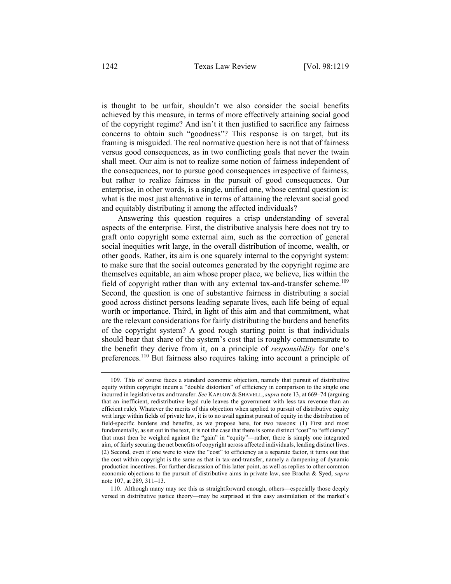is thought to be unfair, shouldn't we also consider the social benefits achieved by this measure, in terms of more effectively attaining social good of the copyright regime? And isn't it then justified to sacrifice any fairness concerns to obtain such "goodness"? This response is on target, but its framing is misguided. The real normative question here is not that of fairness versus good consequences, as in two conflicting goals that never the twain shall meet. Our aim is not to realize some notion of fairness independent of the consequences, nor to pursue good consequences irrespective of fairness, but rather to realize fairness in the pursuit of good consequences. Our enterprise, in other words, is a single, unified one, whose central question is: what is the most just alternative in terms of attaining the relevant social good and equitably distributing it among the affected individuals?

Answering this question requires a crisp understanding of several aspects of the enterprise. First, the distributive analysis here does not try to graft onto copyright some external aim, such as the correction of general social inequities writ large, in the overall distribution of income, wealth, or other goods. Rather, its aim is one squarely internal to the copyright system: to make sure that the social outcomes generated by the copyright regime are themselves equitable, an aim whose proper place, we believe, lies within the field of copyright rather than with any external tax-and-transfer scheme.<sup>109</sup> Second, the question is one of substantive fairness in distributing a social good across distinct persons leading separate lives, each life being of equal worth or importance. Third, in light of this aim and that commitment, what are the relevant considerations for fairly distributing the burdens and benefits of the copyright system? A good rough starting point is that individuals should bear that share of the system's cost that is roughly commensurate to the benefit they derive from it, on a principle of *responsibility* for one's preferences.<sup>110</sup> But fairness also requires taking into account a principle of

<sup>109.</sup> This of course faces a standard economic objection, namely that pursuit of distributive equity within copyright incurs a "double distortion" of efficiency in comparison to the single one incurred in legislative tax and transfer. *See* KAPLOW & SHAVELL, *supra* note 13, at 669–74 (arguing that an inefficient, redistributive legal rule leaves the government with less tax revenue than an efficient rule). Whatever the merits of this objection when applied to pursuit of distributive equity writ large within fields of private law, it is to no avail against pursuit of equity in the distribution of field-specific burdens and benefits, as we propose here, for two reasons: (1) First and most fundamentally, as set out in the text, it is not the case that there is some distinct "cost" to "efficiency" that must then be weighed against the "gain" in "equity"—rather, there is simply one integrated aim, of fairly securing the net benefits of copyright across affected individuals, leading distinct lives. (2) Second, even if one were to view the "cost" to efficiency as a separate factor, it turns out that the cost within copyright is the same as that in tax-and-transfer, namely a dampening of dynamic production incentives. For further discussion of this latter point, as well as replies to other common economic objections to the pursuit of distributive aims in private law, see Bracha & Syed, *supra*  note 107, at 289, 311–13.

<sup>110.</sup> Although many may see this as straightforward enough, others—especially those deeply versed in distributive justice theory—may be surprised at this easy assimilation of the market's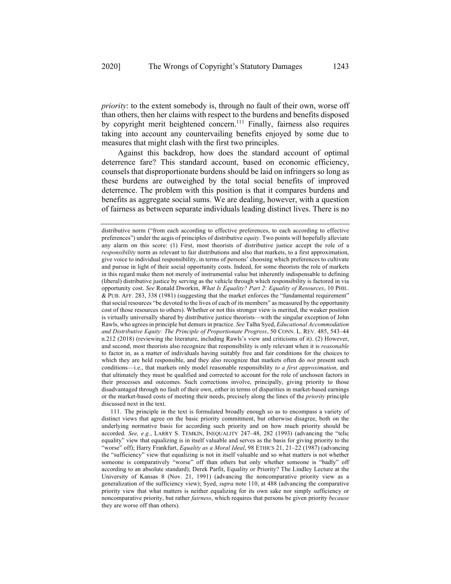*priority*: to the extent somebody is, through no fault of their own, worse off than others, then her claims with respect to the burdens and benefits disposed by copyright merit heightened concern.<sup>111</sup> Finally, fairness also requires taking into account any countervailing benefits enjoyed by some due to measures that might clash with the first two principles.

Against this backdrop, how does the standard account of optimal deterrence fare? This standard account, based on economic efficiency, counsels that disproportionate burdens should be laid on infringers so long as these burdens are outweighed by the total social benefits of improved deterrence. The problem with this position is that it compares burdens and benefits as aggregate social sums. We are dealing, however, with a question of fairness as between separate individuals leading distinct lives. There is no

distributive norm ("from each according to effective preferences, to each according to effective preferences") under the aegis of principles of distributive *equity*. Two points will hopefully alleviate any alarm on this score: (1) First, most theorists of distributive justice accept the role of a *responsibility* norm as relevant to fair distributions and also that markets, to a first approximation, give voice to individual responsibility, in terms of persons' choosing which preferences to cultivate and pursue in light of their social opportunity costs. Indeed, for some theorists the role of markets in this regard make them not merely of instrumental value but inherently indispensable to defining (liberal) distributive justice by serving as the vehicle through which responsibility is factored in via opportunity cost. *See* Ronald Dworkin, *What Is Equality? Part 2: Equality of Resources*, 10 PHIL. & PUB. AFF. 283, 338 (1981) (suggesting that the market enforces the "fundamental requirement" that social resources "be devoted to the lives of each of its members" as measured by the opportunity cost of those resources to others). Whether or not this stronger view is merited, the weaker position is virtually universally shared by distributive justice theorists—with the singular exception of John Rawls, who agrees in principle but demurs in practice. *See* Talha Syed, *Educational Accommodation and Distributive Equity: The Principle of Proportionate Progress*, 50 CONN. L. REV. 485, 543–44 n.212 (2018) (reviewing the literature, including Rawls's view and criticisms of it). (2) However, and second, most theorists also recognize that responsibility is only relevant when it is *reasonable* to factor in, as a matter of individuals having suitably free and fair conditions for the choices to which they are held responsible, and they also recognize that markets often do *not* present such conditions—i.e., that markets only model reasonable responsibility *to a first approximation*, and that ultimately they must be qualified and corrected to account for the role of unchosen factors in their processes and outcomes. Such corrections involve, principally, giving priority to those disadvantaged through no fault of their own, either in terms of disparities in market-based earnings or the market-based costs of meeting their needs, precisely along the lines of the *priority* principle discussed next in the text.

<sup>111.</sup> The principle in the text is formulated broadly enough so as to encompass a variety of distinct views that agree on the basic priority commitment, but otherwise disagree, both on the underlying normative basis for according such priority and on how much priority should be accorded. *See, e.g.*, LARRY S. TEMKIN, INEQUALITY 247–48, 282 (1993) (advancing the "telic equality" view that equalizing is in itself valuable and serves as the basis for giving priority to the "worse" off); Harry Frankfurt, *Equality as a Moral Ideal*, 98 ETHICS 21, 21–22 (1987) (advancing the "sufficiency" view that equalizing is not in itself valuable and so what matters is not whether someone is comparatively "worse" off than others but only whether someone is "badly" off according to an absolute standard); Derek Parfit, Equality or Priority? The Lindley Lecture at the University of Kansas 8 (Nov. 21, 1991) (advancing the noncomparative priority view as a generalization of the sufficiency view); Syed, *supra* note 110, at 488 (advancing the comparative priority view that what matters is neither equalizing for its own sake nor simply sufficiency or noncomparative priority, but rather *fairness*, which requires that persons be given priority *because* they are worse off than others).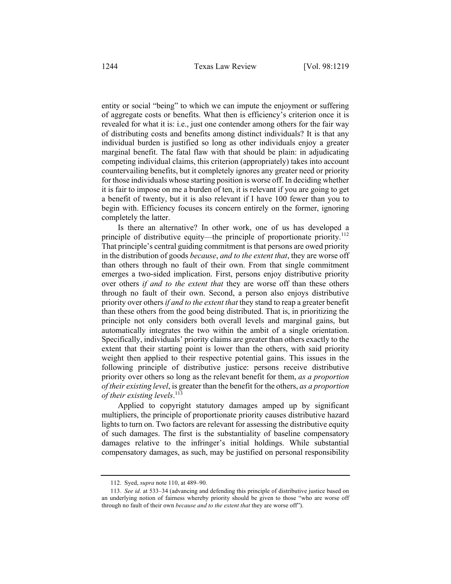entity or social "being" to which we can impute the enjoyment or suffering of aggregate costs or benefits. What then is efficiency's criterion once it is revealed for what it is: i.e., just one contender among others for the fair way of distributing costs and benefits among distinct individuals? It is that any individual burden is justified so long as other individuals enjoy a greater marginal benefit. The fatal flaw with that should be plain: in adjudicating competing individual claims, this criterion (appropriately) takes into account countervailing benefits, but it completely ignores any greater need or priority for those individuals whose starting position is worse off. In deciding whether it is fair to impose on me a burden of ten, it is relevant if you are going to get a benefit of twenty, but it is also relevant if I have 100 fewer than you to begin with. Efficiency focuses its concern entirely on the former, ignoring completely the latter.

Is there an alternative? In other work, one of us has developed a principle of distributive equity—the principle of proportionate priority.<sup>112</sup> That principle's central guiding commitment is that persons are owed priority in the distribution of goods *because*, *and to the extent that*, they are worse off than others through no fault of their own. From that single commitment emerges a two-sided implication. First, persons enjoy distributive priority over others *if and to the extent that* they are worse off than these others through no fault of their own. Second, a person also enjoys distributive priority over others *if and to the extent that* they stand to reap a greater benefit than these others from the good being distributed. That is, in prioritizing the principle not only considers both overall levels and marginal gains, but automatically integrates the two within the ambit of a single orientation. Specifically, individuals' priority claims are greater than others exactly to the extent that their starting point is lower than the others, with said priority weight then applied to their respective potential gains. This issues in the following principle of distributive justice: persons receive distributive priority over others so long as the relevant benefit for them, *as a proportion of their existing level*, is greater than the benefit for the others, *as a proportion of their existing levels*. 113

Applied to copyright statutory damages amped up by significant multipliers, the principle of proportionate priority causes distributive hazard lights to turn on. Two factors are relevant for assessing the distributive equity of such damages. The first is the substantiality of baseline compensatory damages relative to the infringer's initial holdings. While substantial compensatory damages, as such, may be justified on personal responsibility

<sup>112.</sup> Syed, *supra* note 110, at 489–90.

<sup>113.</sup> *See id.* at 533–34 (advancing and defending this principle of distributive justice based on an underlying notion of fairness whereby priority should be given to those "who are worse off through no fault of their own *because and to the extent that* they are worse off").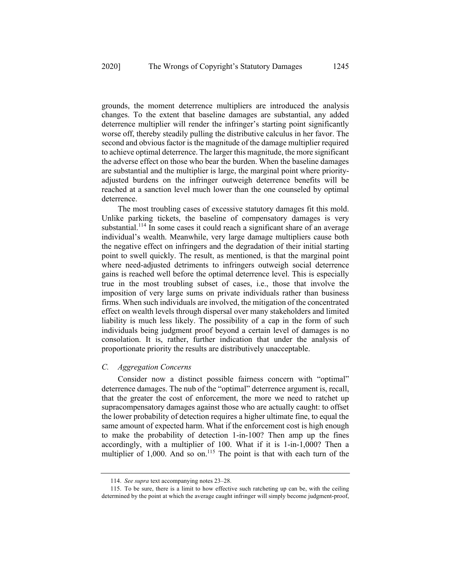grounds, the moment deterrence multipliers are introduced the analysis changes. To the extent that baseline damages are substantial, any added deterrence multiplier will render the infringer's starting point significantly worse off, thereby steadily pulling the distributive calculus in her favor. The second and obvious factor is the magnitude of the damage multiplier required to achieve optimal deterrence. The larger this magnitude, the more significant the adverse effect on those who bear the burden. When the baseline damages are substantial and the multiplier is large, the marginal point where priorityadjusted burdens on the infringer outweigh deterrence benefits will be reached at a sanction level much lower than the one counseled by optimal deterrence.

The most troubling cases of excessive statutory damages fit this mold. Unlike parking tickets, the baseline of compensatory damages is very substantial.<sup>114</sup> In some cases it could reach a significant share of an average individual's wealth. Meanwhile, very large damage multipliers cause both the negative effect on infringers and the degradation of their initial starting point to swell quickly. The result, as mentioned, is that the marginal point where need-adjusted detriments to infringers outweigh social deterrence gains is reached well before the optimal deterrence level. This is especially true in the most troubling subset of cases, i.e., those that involve the imposition of very large sums on private individuals rather than business firms. When such individuals are involved, the mitigation of the concentrated effect on wealth levels through dispersal over many stakeholders and limited liability is much less likely. The possibility of a cap in the form of such individuals being judgment proof beyond a certain level of damages is no consolation. It is, rather, further indication that under the analysis of proportionate priority the results are distributively unacceptable.

# *C. Aggregation Concerns*

Consider now a distinct possible fairness concern with "optimal" deterrence damages. The nub of the "optimal" deterrence argument is, recall, that the greater the cost of enforcement, the more we need to ratchet up supracompensatory damages against those who are actually caught: to offset the lower probability of detection requires a higher ultimate fine, to equal the same amount of expected harm. What if the enforcement cost is high enough to make the probability of detection 1-in-100? Then amp up the fines accordingly, with a multiplier of 100. What if it is 1-in-1,000? Then a multiplier of 1,000. And so on.<sup>115</sup> The point is that with each turn of the

<sup>114.</sup> *See supra* text accompanying notes 23–28.

<sup>115.</sup> To be sure, there is a limit to how effective such ratcheting up can be, with the ceiling determined by the point at which the average caught infringer will simply become judgment-proof,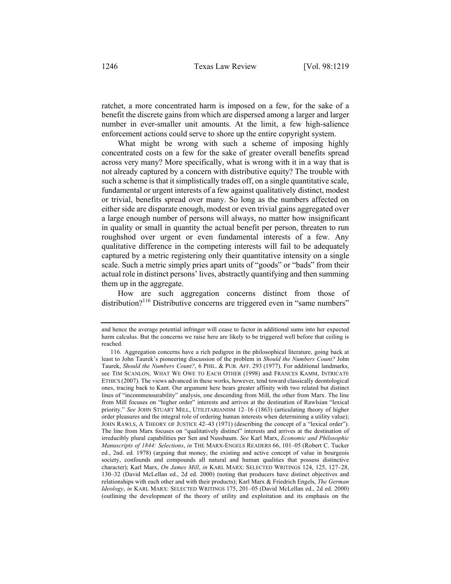ratchet, a more concentrated harm is imposed on a few, for the sake of a benefit the discrete gains from which are dispersed among a larger and larger number in ever-smaller unit amounts. At the limit, a few high-salience enforcement actions could serve to shore up the entire copyright system.

What might be wrong with such a scheme of imposing highly concentrated costs on a few for the sake of greater overall benefits spread across very many? More specifically, what is wrong with it in a way that is not already captured by a concern with distributive equity? The trouble with such a scheme is that it simplistically trades off, on a single quantitative scale, fundamental or urgent interests of a few against qualitatively distinct, modest or trivial, benefits spread over many. So long as the numbers affected on either side are disparate enough, modest or even trivial gains aggregated over a large enough number of persons will always, no matter how insignificant in quality or small in quantity the actual benefit per person, threaten to run roughshod over urgent or even fundamental interests of a few. Any qualitative difference in the competing interests will fail to be adequately captured by a metric registering only their quantitative intensity on a single scale. Such a metric simply pries apart units of "goods" or "bads" from their actual role in distinct persons' lives, abstractly quantifying and then summing them up in the aggregate.

How are such aggregation concerns distinct from those of distribution?<sup>116</sup> Distributive concerns are triggered even in "same numbers"

and hence the average potential infringer will cease to factor in additional sums into her expected harm calculus. But the concerns we raise here are likely to be triggered well before that ceiling is reached.

<sup>116.</sup> Aggregation concerns have a rich pedigree in the philosophical literature, going back at least to John Taurek's pioneering discussion of the problem in *Should the Numbers Count?* John Taurek, *Should the Numbers Count?*, 6 PHIL. & PUB. AFF. 293 (1977). For additional landmarks, see TIM SCANLON, WHAT WE OWE TO EACH OTHER (1998) and FRANCES KAMM, INTRICATE ETHICS (2007). The views advanced in these works, however, tend toward classically deontological ones, tracing back to Kant. Our argument here bears greater affinity with two related but distinct lines of "incommensurability" analysis, one descending from Mill, the other from Marx. The line from Mill focuses on "higher order" interests and arrives at the destination of Rawlsian "lexical priority." *See* JOHN STUART MILL, UTILITARIANISM 12–16 (1863) (articulating theory of higher order pleasures and the integral role of ordering human interests when determining a utility value); JOHN RAWLS, A THEORY OF JUSTICE 42–43 (1971) (describing the concept of a "lexical order"). The line from Marx focuses on "qualitatively distinct" interests and arrives at the destination of irreducibly plural capabilities per Sen and Nussbaum. *See* Karl Marx, *Economic and Philosophic Manuscripts of 1844: Selections*, *in* THE MARX-ENGELS READERS 66, 101–05 (Robert C. Tucker ed., 2nd. ed. 1978) (arguing that money, the existing and active concept of value in bourgeois society, confounds and compounds all natural and human qualities that possess distinctive character); Karl Marx, *On James Mill*, *in* KARL MARX: SELECTED WRITINGS 124, 125, 127–28, 130–32 (David McLellan ed., 2d ed. 2000) (noting that producers have distinct objectives and relationships with each other and with their products); Karl Marx & Friedrich Engels, *The German Ideology*, *in* KARL MARX: SELECTED WRITINGS 175, 201–05 (David McLellan ed., 2d ed. 2000) (outlining the development of the theory of utility and exploitation and its emphasis on the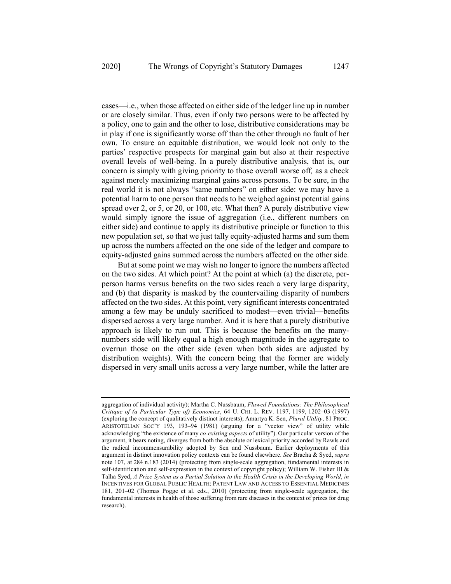cases—i.e., when those affected on either side of the ledger line up in number or are closely similar. Thus, even if only two persons were to be affected by a policy, one to gain and the other to lose, distributive considerations may be in play if one is significantly worse off than the other through no fault of her own. To ensure an equitable distribution, we would look not only to the parties' respective prospects for marginal gain but also at their respective overall levels of well-being. In a purely distributive analysis, that is, our concern is simply with giving priority to those overall worse off*,* as a check against merely maximizing marginal gains across persons. To be sure, in the real world it is not always "same numbers" on either side: we may have a potential harm to one person that needs to be weighed against potential gains spread over 2, or 5, or 20, or 100, etc. What then? A purely distributive view would simply ignore the issue of aggregation (i.e., different numbers on either side) and continue to apply its distributive principle or function to this new population set, so that we just tally equity-adjusted harms and sum them up across the numbers affected on the one side of the ledger and compare to equity-adjusted gains summed across the numbers affected on the other side.

But at some point we may wish no longer to ignore the numbers affected on the two sides. At which point? At the point at which (a) the discrete, perperson harms versus benefits on the two sides reach a very large disparity, and (b) that disparity is masked by the countervailing disparity of numbers affected on the two sides. At this point, very significant interests concentrated among a few may be unduly sacrificed to modest—even trivial—benefits dispersed across a very large number. And it is here that a purely distributive approach is likely to run out. This is because the benefits on the manynumbers side will likely equal a high enough magnitude in the aggregate to overrun those on the other side (even when both sides are adjusted by distribution weights). With the concern being that the former are widely dispersed in very small units across a very large number, while the latter are

aggregation of individual activity); Martha C. Nussbaum, *Flawed Foundations: The Philosophical Critique of (a Particular Type of) Economics*, 64 U. CHI. L. REV. 1197, 1199, 1202–03 (1997) (exploring the concept of qualitatively distinct interests); Amartya K. Sen, *Plural Utility*, 81 PROC. ARISTOTELIAN SOC'Y 193, 193–94 (1981) (arguing for a "vector view" of utility while acknowledging "the existence of many *co-existing aspects* of utility"). Our particular version of the argument, it bears noting, diverges from both the absolute or lexical priority accorded by Rawls and the radical incommensurability adopted by Sen and Nussbaum. Earlier deployments of this argument in distinct innovation policy contexts can be found elsewhere. *See* Bracha & Syed, *supra* note 107, at 284 n.183 (2014) (protecting from single-scale aggregation, fundamental interests in self-identification and self-expression in the context of copyright policy); William W. Fisher III & Talha Syed, *A Prize System as a Partial Solution to the Health Crisis in the Developing World*, *in* INCENTIVES FOR GLOBAL PUBLIC HEALTH: PATENT LAW AND ACCESS TO ESSENTIAL MEDICINES 181, 201–02 (Thomas Pogge et al. eds., 2010) (protecting from single-scale aggregation, the fundamental interests in health of those suffering from rare diseases in the context of prizes for drug research).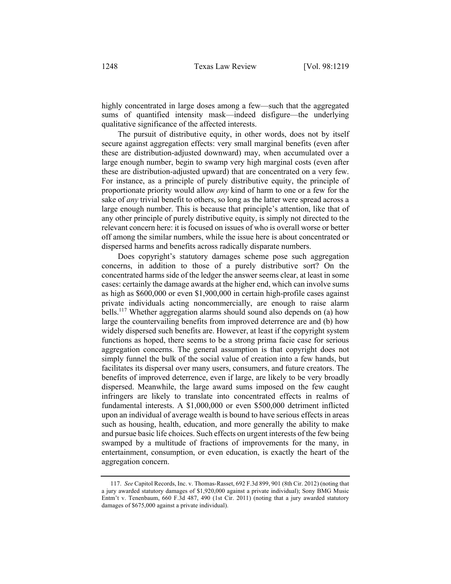highly concentrated in large doses among a few—such that the aggregated sums of quantified intensity mask—indeed disfigure—the underlying qualitative significance of the affected interests.

The pursuit of distributive equity, in other words, does not by itself secure against aggregation effects: very small marginal benefits (even after these are distribution-adjusted downward) may, when accumulated over a large enough number, begin to swamp very high marginal costs (even after these are distribution-adjusted upward) that are concentrated on a very few. For instance, as a principle of purely distributive equity, the principle of proportionate priority would allow *any* kind of harm to one or a few for the sake of *any* trivial benefit to others, so long as the latter were spread across a large enough number. This is because that principle's attention, like that of any other principle of purely distributive equity, is simply not directed to the relevant concern here: it is focused on issues of who is overall worse or better off among the similar numbers, while the issue here is about concentrated or dispersed harms and benefits across radically disparate numbers.

Does copyright's statutory damages scheme pose such aggregation concerns, in addition to those of a purely distributive sort? On the concentrated harms side of the ledger the answer seems clear, at least in some cases: certainly the damage awards at the higher end, which can involve sums as high as \$600,000 or even \$1,900,000 in certain high-profile cases against private individuals acting noncommercially, are enough to raise alarm bells.<sup>117</sup> Whether aggregation alarms should sound also depends on (a) how large the countervailing benefits from improved deterrence are and (b) how widely dispersed such benefits are. However, at least if the copyright system functions as hoped, there seems to be a strong prima facie case for serious aggregation concerns. The general assumption is that copyright does not simply funnel the bulk of the social value of creation into a few hands, but facilitates its dispersal over many users, consumers, and future creators. The benefits of improved deterrence, even if large, are likely to be very broadly dispersed. Meanwhile, the large award sums imposed on the few caught infringers are likely to translate into concentrated effects in realms of fundamental interests. A \$1,000,000 or even \$500,000 detriment inflicted upon an individual of average wealth is bound to have serious effects in areas such as housing, health, education, and more generally the ability to make and pursue basic life choices. Such effects on urgent interests of the few being swamped by a multitude of fractions of improvements for the many, in entertainment, consumption, or even education, is exactly the heart of the aggregation concern.

<sup>117.</sup> *See* Capitol Records, Inc. v. Thomas-Rasset, 692 F.3d 899, 901 (8th Cir. 2012) (noting that a jury awarded statutory damages of \$1,920,000 against a private individual); Sony BMG Music Entm't v. Tenenbaum, 660 F.3d 487, 490 (1st Cir. 2011) (noting that a jury awarded statutory damages of \$675,000 against a private individual).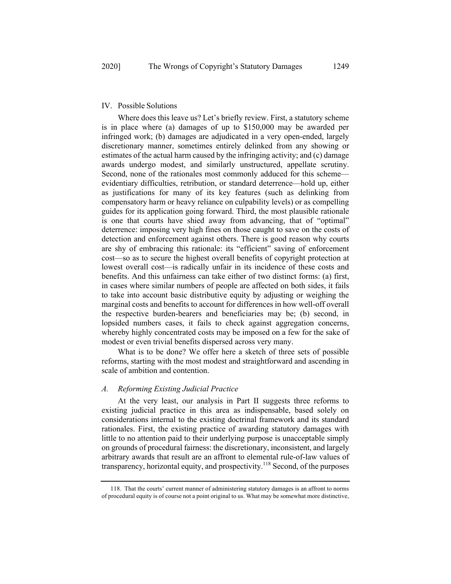#### IV. Possible Solutions

Where does this leave us? Let's briefly review. First, a statutory scheme is in place where (a) damages of up to \$150,000 may be awarded per infringed work; (b) damages are adjudicated in a very open-ended, largely discretionary manner, sometimes entirely delinked from any showing or estimates of the actual harm caused by the infringing activity; and (c) damage awards undergo modest, and similarly unstructured, appellate scrutiny. Second, none of the rationales most commonly adduced for this scheme evidentiary difficulties, retribution, or standard deterrence—hold up, either as justifications for many of its key features (such as delinking from compensatory harm or heavy reliance on culpability levels) or as compelling guides for its application going forward. Third, the most plausible rationale is one that courts have shied away from advancing, that of "optimal" deterrence: imposing very high fines on those caught to save on the costs of detection and enforcement against others. There is good reason why courts are shy of embracing this rationale: its "efficient" saving of enforcement cost—so as to secure the highest overall benefits of copyright protection at lowest overall cost—is radically unfair in its incidence of these costs and benefits. And this unfairness can take either of two distinct forms: (a) first, in cases where similar numbers of people are affected on both sides, it fails to take into account basic distributive equity by adjusting or weighing the marginal costs and benefits to account for differences in how well-off overall the respective burden-bearers and beneficiaries may be; (b) second, in lopsided numbers cases, it fails to check against aggregation concerns, whereby highly concentrated costs may be imposed on a few for the sake of modest or even trivial benefits dispersed across very many.

What is to be done? We offer here a sketch of three sets of possible reforms, starting with the most modest and straightforward and ascending in scale of ambition and contention.

#### *A. Reforming Existing Judicial Practice*

At the very least, our analysis in Part II suggests three reforms to existing judicial practice in this area as indispensable, based solely on considerations internal to the existing doctrinal framework and its standard rationales. First, the existing practice of awarding statutory damages with little to no attention paid to their underlying purpose is unacceptable simply on grounds of procedural fairness: the discretionary, inconsistent, and largely arbitrary awards that result are an affront to elemental rule-of-law values of transparency, horizontal equity, and prospectivity.<sup>118</sup> Second, of the purposes

<sup>118.</sup> That the courts' current manner of administering statutory damages is an affront to norms of procedural equity is of course not a point original to us. What may be somewhat more distinctive,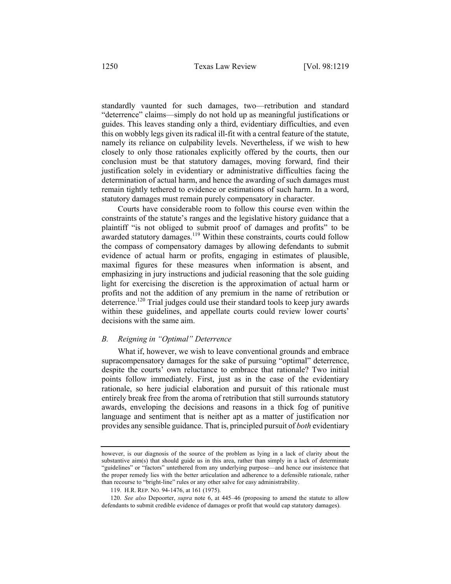standardly vaunted for such damages, two—retribution and standard "deterrence" claims—simply do not hold up as meaningful justifications or guides. This leaves standing only a third, evidentiary difficulties, and even this on wobbly legs given its radical ill-fit with a central feature of the statute, namely its reliance on culpability levels. Nevertheless, if we wish to hew closely to only those rationales explicitly offered by the courts, then our conclusion must be that statutory damages, moving forward, find their justification solely in evidentiary or administrative difficulties facing the determination of actual harm, and hence the awarding of such damages must remain tightly tethered to evidence or estimations of such harm. In a word, statutory damages must remain purely compensatory in character.

Courts have considerable room to follow this course even within the constraints of the statute's ranges and the legislative history guidance that a plaintiff "is not obliged to submit proof of damages and profits" to be awarded statutory damages. $119$  Within these constraints, courts could follow the compass of compensatory damages by allowing defendants to submit evidence of actual harm or profits, engaging in estimates of plausible, maximal figures for these measures when information is absent, and emphasizing in jury instructions and judicial reasoning that the sole guiding light for exercising the discretion is the approximation of actual harm or profits and not the addition of any premium in the name of retribution or  $\det$  deterrence.<sup>120</sup> Trial judges could use their standard tools to keep jury awards within these guidelines, and appellate courts could review lower courts' decisions with the same aim.

## *B. Reigning in "Optimal" Deterrence*

What if, however, we wish to leave conventional grounds and embrace supracompensatory damages for the sake of pursuing "optimal" deterrence, despite the courts' own reluctance to embrace that rationale? Two initial points follow immediately. First, just as in the case of the evidentiary rationale, so here judicial elaboration and pursuit of this rationale must entirely break free from the aroma of retribution that still surrounds statutory awards, enveloping the decisions and reasons in a thick fog of punitive language and sentiment that is neither apt as a matter of justification nor provides any sensible guidance. That is, principled pursuit of *both* evidentiary

however, is our diagnosis of the source of the problem as lying in a lack of clarity about the substantive aim $(s)$  that should guide us in this area, rather than simply in a lack of determinate "guidelines" or "factors" untethered from any underlying purpose—and hence our insistence that the proper remedy lies with the better articulation and adherence to a defensible rationale, rather than recourse to "bright-line" rules or any other salve for easy administrability.

<sup>119.</sup> H.R. REP. NO. 94-1476, at 161 (1975).

<sup>120.</sup> *See also* Depoorter, *supra* note 6, at 445–46 (proposing to amend the statute to allow defendants to submit credible evidence of damages or profit that would cap statutory damages).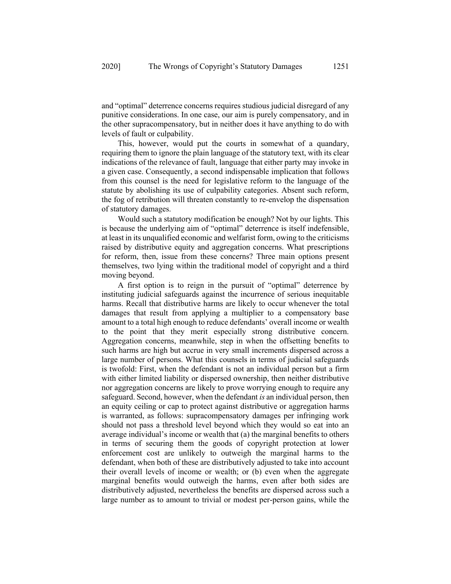and "optimal" deterrence concerns requires studious judicial disregard of any punitive considerations. In one case, our aim is purely compensatory, and in the other supracompensatory, but in neither does it have anything to do with levels of fault or culpability.

This, however, would put the courts in somewhat of a quandary, requiring them to ignore the plain language of the statutory text, with its clear indications of the relevance of fault, language that either party may invoke in a given case. Consequently, a second indispensable implication that follows from this counsel is the need for legislative reform to the language of the statute by abolishing its use of culpability categories. Absent such reform, the fog of retribution will threaten constantly to re-envelop the dispensation of statutory damages.

Would such a statutory modification be enough? Not by our lights. This is because the underlying aim of "optimal" deterrence is itself indefensible, at least in its unqualified economic and welfarist form, owing to the criticisms raised by distributive equity and aggregation concerns. What prescriptions for reform, then, issue from these concerns? Three main options present themselves, two lying within the traditional model of copyright and a third moving beyond.

A first option is to reign in the pursuit of "optimal" deterrence by instituting judicial safeguards against the incurrence of serious inequitable harms. Recall that distributive harms are likely to occur whenever the total damages that result from applying a multiplier to a compensatory base amount to a total high enough to reduce defendants' overall income or wealth to the point that they merit especially strong distributive concern. Aggregation concerns, meanwhile, step in when the offsetting benefits to such harms are high but accrue in very small increments dispersed across a large number of persons. What this counsels in terms of judicial safeguards is twofold: First, when the defendant is not an individual person but a firm with either limited liability or dispersed ownership, then neither distributive nor aggregation concerns are likely to prove worrying enough to require any safeguard. Second, however, when the defendant *is* an individual person, then an equity ceiling or cap to protect against distributive or aggregation harms is warranted, as follows: supracompensatory damages per infringing work should not pass a threshold level beyond which they would so eat into an average individual's income or wealth that (a) the marginal benefits to others in terms of securing them the goods of copyright protection at lower enforcement cost are unlikely to outweigh the marginal harms to the defendant, when both of these are distributively adjusted to take into account their overall levels of income or wealth; or (b) even when the aggregate marginal benefits would outweigh the harms, even after both sides are distributively adjusted, nevertheless the benefits are dispersed across such a large number as to amount to trivial or modest per-person gains, while the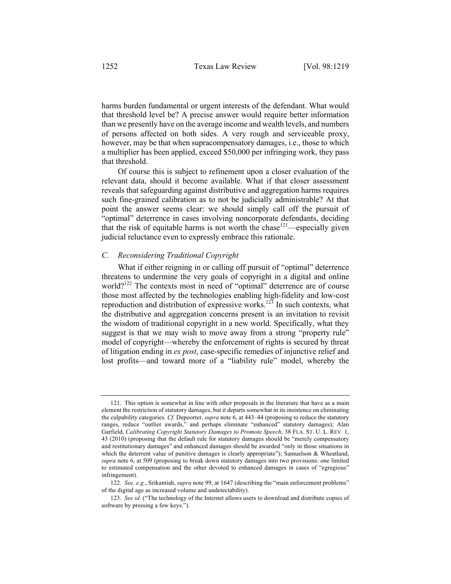harms burden fundamental or urgent interests of the defendant. What would that threshold level be? A precise answer would require better information than we presently have on the average income and wealth levels, and numbers of persons affected on both sides. A very rough and serviceable proxy, however, may be that when supracompensatory damages, i.e., those to which a multiplier has been applied, exceed \$50,000 per infringing work, they pass that threshold.

Of course this is subject to refinement upon a closer evaluation of the relevant data, should it become available. What if that closer assessment reveals that safeguarding against distributive and aggregation harms requires such fine-grained calibration as to not be judicially administrable? At that point the answer seems clear: we should simply call off the pursuit of "optimal" deterrence in cases involving noncorporate defendants, deciding that the risk of equitable harms is not worth the chase  $121$ —especially given judicial reluctance even to expressly embrace this rationale.

#### *C. Reconsidering Traditional Copyright*

What if either reigning in or calling off pursuit of "optimal" deterrence threatens to undermine the very goals of copyright in a digital and online world?<sup>122</sup> The contexts most in need of "optimal" deterrence are of course those most affected by the technologies enabling high-fidelity and low-cost reproduction and distribution of expressive works.<sup>123</sup> In such contexts, what the distributive and aggregation concerns present is an invitation to revisit the wisdom of traditional copyright in a new world. Specifically, what they suggest is that we may wish to move away from a strong "property rule" model of copyright—whereby the enforcement of rights is secured by threat of litigation ending in *ex post*, case-specific remedies of injunctive relief and lost profits—and toward more of a "liability rule" model, whereby the

<sup>121.</sup> This option is somewhat in line with other proposals in the literature that have as a main element the restriction of statutory damages, but it departs somewhat in its insistence on eliminating the culpability categories. *Cf.* Depoorter, *supra* note 6, at 443–44 (proposing to reduce the statutory ranges, reduce "outlier awards," and perhaps eliminate "enhanced" statutory damages); Alan Garfield, *Calibrating Copyright Statutory Damages to Promote Speech*, 38 FLA. ST. U. L. REV. 1, 43 (2010) (proposing that the default rule for statutory damages should be "merely compensatory and restitutionary damages" and enhanced damages should be awarded "only in those situations in which the deterrent value of punitive damages is clearly appropriate"); Samuelson & Wheatland, *supra* note 6, at 509 (proposing to break down statutory damages into two provisions: one limited to estimated compensation and the other devoted to enhanced damages in cases of "egregious" infringement).

<sup>122.</sup> *See, e.g.*, Srikantiah, *supra* note 99, at 1647 (describing the "main enforcement problems" of the digital age as increased volume and undetectability).

<sup>123.</sup> *See id.* ("The technology of the Internet allows users to download and distribute copies of software by pressing a few keys.").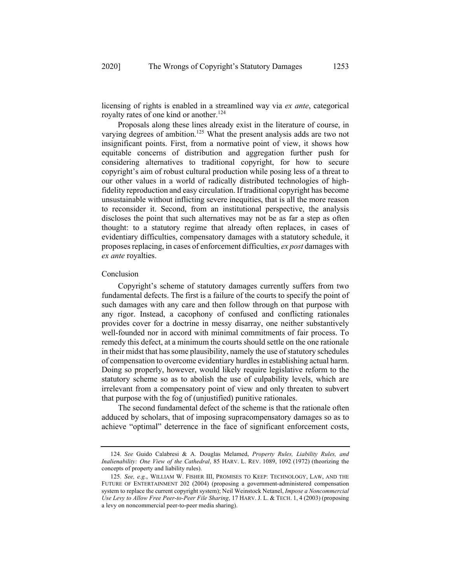licensing of rights is enabled in a streamlined way via *ex ante*, categorical royalty rates of one kind or another.<sup>124</sup>

Proposals along these lines already exist in the literature of course, in varying degrees of ambition.<sup>125</sup> What the present analysis adds are two not insignificant points. First, from a normative point of view, it shows how equitable concerns of distribution and aggregation further push for considering alternatives to traditional copyright, for how to secure copyright's aim of robust cultural production while posing less of a threat to our other values in a world of radically distributed technologies of highfidelity reproduction and easy circulation. If traditional copyright has become unsustainable without inflicting severe inequities, that is all the more reason to reconsider it. Second, from an institutional perspective, the analysis discloses the point that such alternatives may not be as far a step as often thought: to a statutory regime that already often replaces, in cases of evidentiary difficulties, compensatory damages with a statutory schedule, it proposes replacing, in cases of enforcement difficulties, *ex post* damages with *ex ante* royalties.

#### Conclusion

Copyright's scheme of statutory damages currently suffers from two fundamental defects. The first is a failure of the courts to specify the point of such damages with any care and then follow through on that purpose with any rigor. Instead, a cacophony of confused and conflicting rationales provides cover for a doctrine in messy disarray, one neither substantively well-founded nor in accord with minimal commitments of fair process. To remedy this defect, at a minimum the courts should settle on the one rationale in their midst that has some plausibility, namely the use of statutory schedules of compensation to overcome evidentiary hurdles in establishing actual harm. Doing so properly, however, would likely require legislative reform to the statutory scheme so as to abolish the use of culpability levels, which are irrelevant from a compensatory point of view and only threaten to subvert that purpose with the fog of (unjustified) punitive rationales.

The second fundamental defect of the scheme is that the rationale often adduced by scholars, that of imposing supracompensatory damages so as to achieve "optimal" deterrence in the face of significant enforcement costs,

<sup>124.</sup> *See* Guido Calabresi & A. Douglas Melamed, *Property Rules, Liability Rules, and Inalienability: One View of the Cathedral*, 85 HARV. L. REV. 1089, 1092 (1972) (theorizing the concepts of property and liability rules).

<sup>125.</sup> *See, e.g.*, WILLIAM W. FISHER III, PROMISES TO KEEP: TECHNOLOGY, LAW, AND THE FUTURE OF ENTERTAINMENT 202 (2004) (proposing a government-administered compensation system to replace the current copyright system); Neil Weinstock Netanel, *Impose a Noncommercial Use Levy to Allow Free Peer-to-Peer File Sharing*, 17 HARV. J. L. & TECH. 1, 4 (2003) (proposing a levy on noncommercial peer-to-peer media sharing).